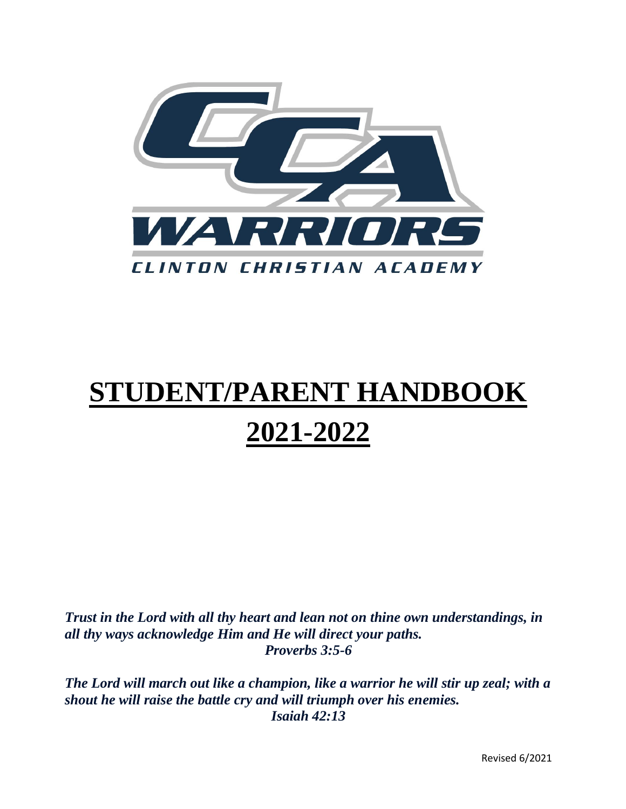

# **STUDENT/PARENT HANDBOOK 2021-2022**

*Trust in the Lord with all thy heart and lean not on thine own understandings, in all thy ways acknowledge Him and He will direct your paths. Proverbs 3:5-6*

*The Lord will march out like a champion, like a warrior he will stir up zeal; with a shout he will raise the battle cry and will triumph over his enemies. Isaiah 42:13*

Revised 6/2021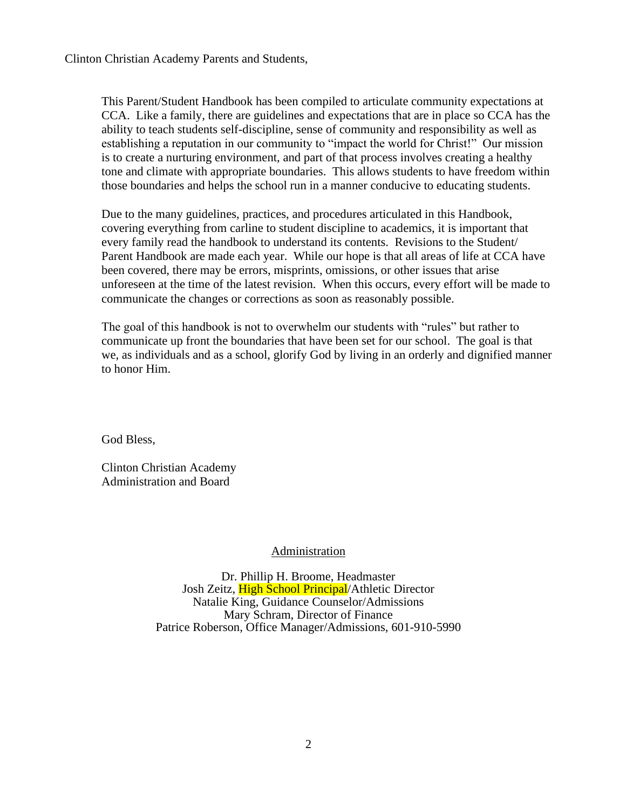Clinton Christian Academy Parents and Students,

This Parent/Student Handbook has been compiled to articulate community expectations at CCA. Like a family, there are guidelines and expectations that are in place so CCA has the ability to teach students self-discipline, sense of community and responsibility as well as establishing a reputation in our community to "impact the world for Christ!" Our mission is to create a nurturing environment, and part of that process involves creating a healthy tone and climate with appropriate boundaries. This allows students to have freedom within those boundaries and helps the school run in a manner conducive to educating students.

Due to the many guidelines, practices, and procedures articulated in this Handbook, covering everything from carline to student discipline to academics, it is important that every family read the handbook to understand its contents. Revisions to the Student/ Parent Handbook are made each year. While our hope is that all areas of life at CCA have been covered, there may be errors, misprints, omissions, or other issues that arise unforeseen at the time of the latest revision. When this occurs, every effort will be made to communicate the changes or corrections as soon as reasonably possible.

The goal of this handbook is not to overwhelm our students with "rules" but rather to communicate up front the boundaries that have been set for our school. The goal is that we, as individuals and as a school, glorify God by living in an orderly and dignified manner to honor Him.

God Bless,

Clinton Christian Academy Administration and Board

## Administration

Dr. Phillip H. Broome, Headmaster Josh Zeitz, High School Principal/Athletic Director Natalie King, Guidance Counselor/Admissions Mary Schram, Director of Finance Patrice Roberson, Office Manager/Admissions, 601-910-5990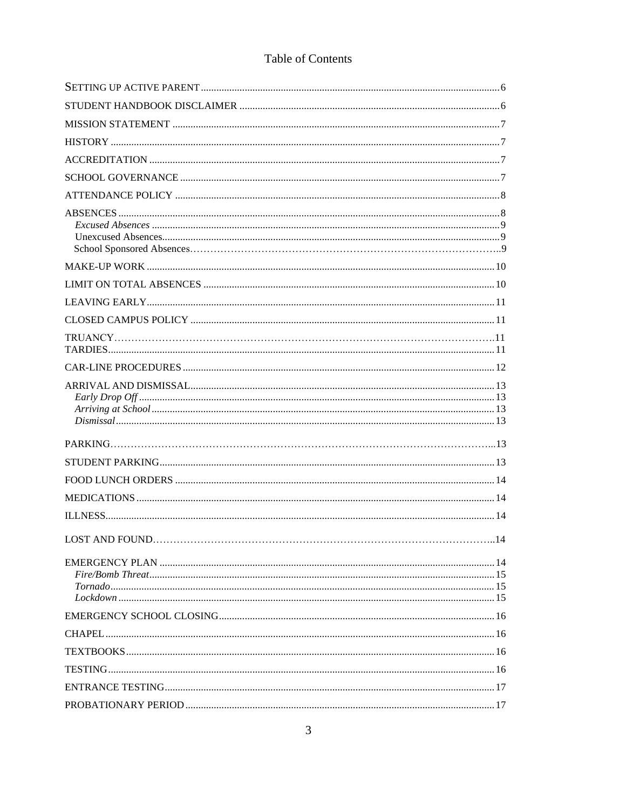# Table of Contents

| LOST AND FOUND | 14 |
|----------------|----|
|                |    |
|                |    |
|                |    |
|                |    |
|                |    |
|                |    |
|                |    |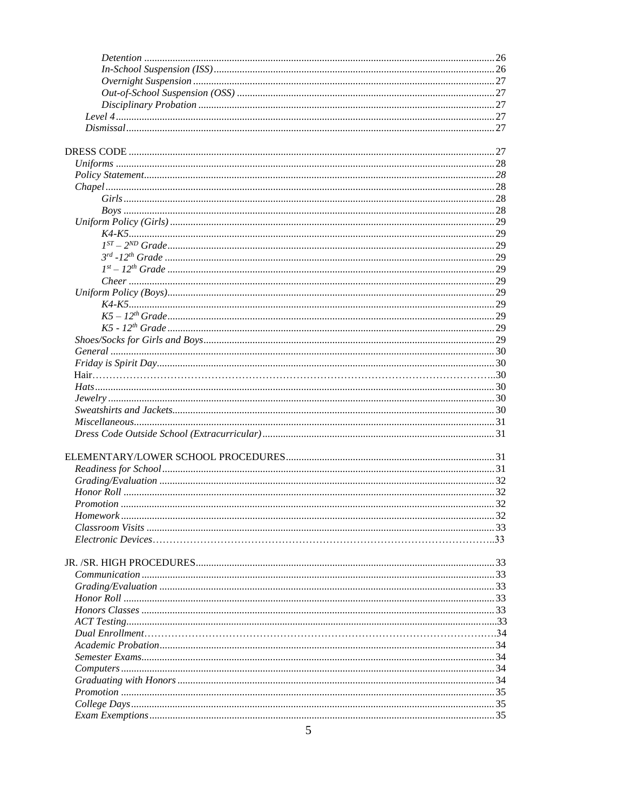| $\mathcal{L}$ |  |
|---------------|--|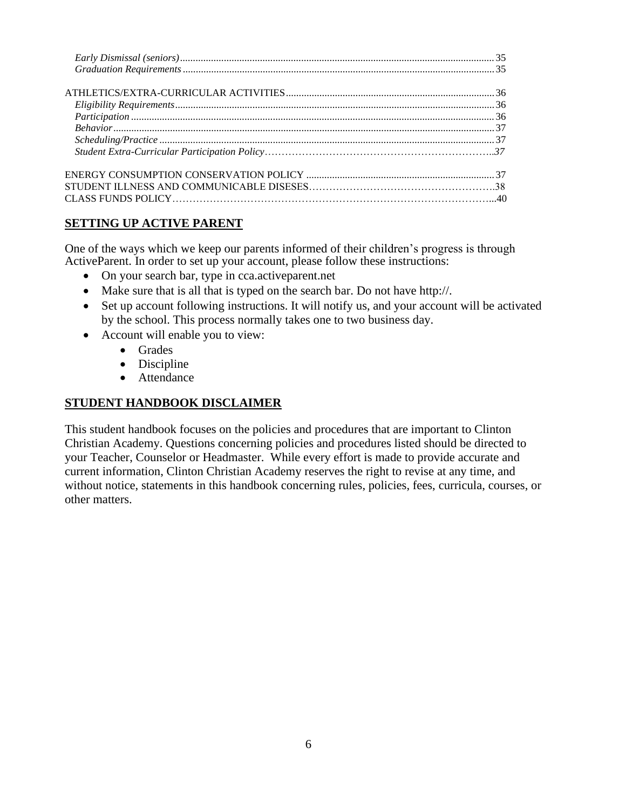# **SETTING UP ACTIVE PARENT**

One of the ways which we keep our parents informed of their children's progress is through ActiveParent. In order to set up your account, please follow these instructions:

- On your search bar, type in cca.active parent.net
- Make sure that is all that is typed on the search bar. Do not have http://.
- Set up account following instructions. It will notify us, and your account will be activated by the school. This process normally takes one to two business day.
- Account will enable you to view:
	- Grades
	- Discipline
	- Attendance

# **STUDENT HANDBOOK DISCLAIMER**

This student handbook focuses on the policies and procedures that are important to Clinton Christian Academy. Questions concerning policies and procedures listed should be directed to your Teacher, Counselor or Headmaster. While every effort is made to provide accurate and current information, Clinton Christian Academy reserves the right to revise at any time, and without notice, statements in this handbook concerning rules, policies, fees, curricula, courses, or other matters.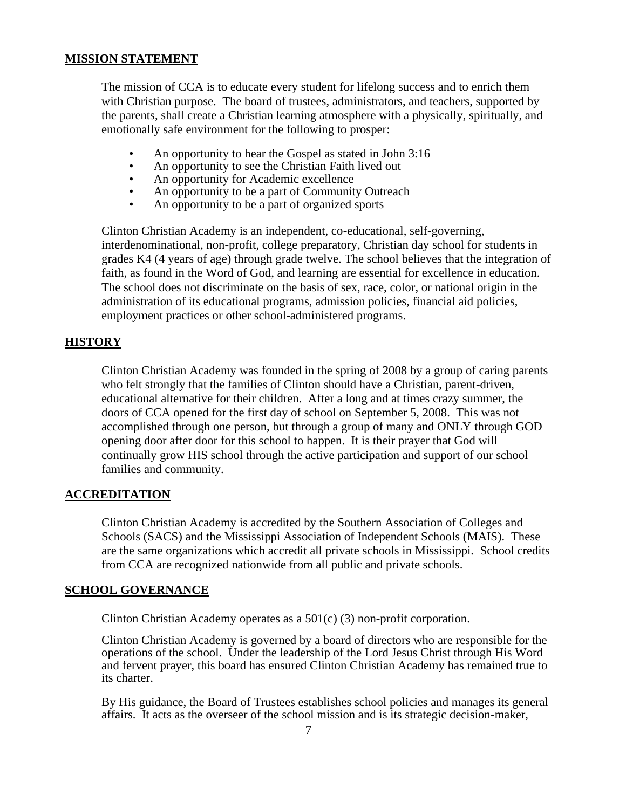## **MISSION STATEMENT**

The mission of CCA is to educate every student for lifelong success and to enrich them with Christian purpose. The board of trustees, administrators, and teachers, supported by the parents, shall create a Christian learning atmosphere with a physically, spiritually, and emotionally safe environment for the following to prosper:

- An opportunity to hear the Gospel as stated in John 3:16
- An opportunity to see the Christian Faith lived out
- An opportunity for Academic excellence
- An opportunity to be a part of Community Outreach
- An opportunity to be a part of organized sports

Clinton Christian Academy is an independent, co-educational, self-governing, interdenominational, non-profit, college preparatory, Christian day school for students in grades K4 (4 years of age) through grade twelve. The school believes that the integration of faith, as found in the Word of God, and learning are essential for excellence in education. The school does not discriminate on the basis of sex, race, color, or national origin in the administration of its educational programs, admission policies, financial aid policies, employment practices or other school-administered programs.

# **HISTORY**

Clinton Christian Academy was founded in the spring of 2008 by a group of caring parents who felt strongly that the families of Clinton should have a Christian, parent-driven, educational alternative for their children. After a long and at times crazy summer, the doors of CCA opened for the first day of school on September 5, 2008. This was not accomplished through one person, but through a group of many and ONLY through GOD opening door after door for this school to happen. It is their prayer that God will continually grow HIS school through the active participation and support of our school families and community.

## **ACCREDITATION**

Clinton Christian Academy is accredited by the Southern Association of Colleges and Schools (SACS) and the Mississippi Association of Independent Schools (MAIS). These are the same organizations which accredit all private schools in Mississippi. School credits from CCA are recognized nationwide from all public and private schools.

## **SCHOOL GOVERNANCE**

Clinton Christian Academy operates as a 501(c) (3) non-profit corporation.

Clinton Christian Academy is governed by a board of directors who are responsible for the operations of the school. Under the leadership of the Lord Jesus Christ through His Word and fervent prayer, this board has ensured Clinton Christian Academy has remained true to its charter.

By His guidance, the Board of Trustees establishes school policies and manages its general affairs. It acts as the overseer of the school mission and is its strategic decision-maker,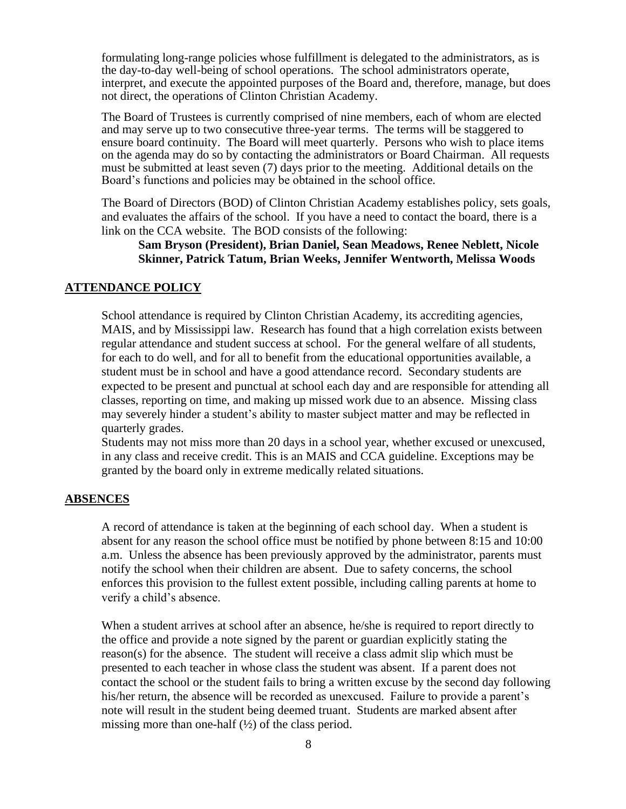formulating long-range policies whose fulfillment is delegated to the administrators, as is the day-to-day well-being of school operations. The school administrators operate, interpret, and execute the appointed purposes of the Board and, therefore, manage, but does not direct, the operations of Clinton Christian Academy.

The Board of Trustees is currently comprised of nine members, each of whom are elected and may serve up to two consecutive three-year terms. The terms will be staggered to ensure board continuity. The Board will meet quarterly. Persons who wish to place items on the agenda may do so by contacting the administrators or Board Chairman. All requests must be submitted at least seven (7) days prior to the meeting. Additional details on the Board's functions and policies may be obtained in the school office. Î

The Board of Directors (BOD) of Clinton Christian Academy establishes policy, sets goals, and evaluates the affairs of the school. If you have a need to contact the board, there is a link on the CCA website. The BOD consists of the following:

## **Sam Bryson (President), Brian Daniel, Sean Meadows, Renee Neblett, Nicole Skinner, Patrick Tatum, Brian Weeks, Jennifer Wentworth, Melissa Woods**

## **ATTENDANCE POLICY**

School attendance is required by Clinton Christian Academy, its accrediting agencies, MAIS, and by Mississippi law. Research has found that a high correlation exists between regular attendance and student success at school. For the general welfare of all students, for each to do well, and for all to benefit from the educational opportunities available, a student must be in school and have a good attendance record. Secondary students are expected to be present and punctual at school each day and are responsible for attending all classes, reporting on time, and making up missed work due to an absence. Missing class may severely hinder a student's ability to master subject matter and may be reflected in quarterly grades.

Students may not miss more than 20 days in a school year, whether excused or unexcused, in any class and receive credit. This is an MAIS and CCA guideline. Exceptions may be granted by the board only in extreme medically related situations.

#### **ABSENCES**

A record of attendance is taken at the beginning of each school day. When a student is absent for any reason the school office must be notified by phone between 8:15 and 10:00 a.m. Unless the absence has been previously approved by the administrator, parents must notify the school when their children are absent. Due to safety concerns, the school enforces this provision to the fullest extent possible, including calling parents at home to verify a child's absence.

When a student arrives at school after an absence, he/she is required to report directly to the office and provide a note signed by the parent or guardian explicitly stating the reason(s) for the absence. The student will receive a class admit slip which must be presented to each teacher in whose class the student was absent. If a parent does not contact the school or the student fails to bring a written excuse by the second day following his/her return, the absence will be recorded as unexcused. Failure to provide a parent's note will result in the student being deemed truant. Students are marked absent after missing more than one-half  $(\frac{1}{2})$  of the class period.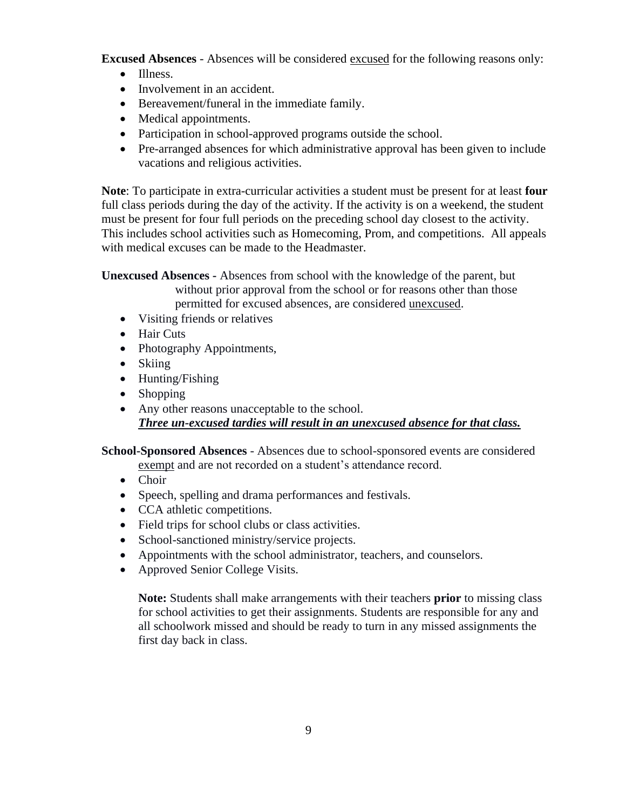**Excused Absences** - Absences will be considered excused for the following reasons only:

- Illness.
- Involvement in an accident.
- Bereavement/funeral in the immediate family.
- Medical appointments.
- Participation in school-approved programs outside the school.
- Pre-arranged absences for which administrative approval has been given to include vacations and religious activities.

**Note**: To participate in extra-curricular activities a student must be present for at least **four** full class periods during the day of the activity. If the activity is on a weekend, the student must be present for four full periods on the preceding school day closest to the activity. This includes school activities such as Homecoming, Prom, and competitions. All appeals with medical excuses can be made to the Headmaster.

**Unexcused Absences -** Absences from school with the knowledge of the parent, but without prior approval from the school or for reasons other than those permitted for excused absences, are considered unexcused.

- Visiting friends or relatives
- Hair Cuts
- Photography Appointments,
- Skiing
- Hunting/Fishing
- Shopping
- Any other reasons unacceptable to the school. *Three un-excused tardies will result in an unexcused absence for that class.*

**School-Sponsored Absences** - Absences due to school-sponsored events are considered exempt and are not recorded on a student's attendance record.

- Choir
- Speech, spelling and drama performances and festivals.
- CCA athletic competitions.
- Field trips for school clubs or class activities.
- School-sanctioned ministry/service projects.
- Appointments with the school administrator, teachers, and counselors.
- Approved Senior College Visits.

**Note:** Students shall make arrangements with their teachers **prior** to missing class for school activities to get their assignments. Students are responsible for any and all schoolwork missed and should be ready to turn in any missed assignments the first day back in class.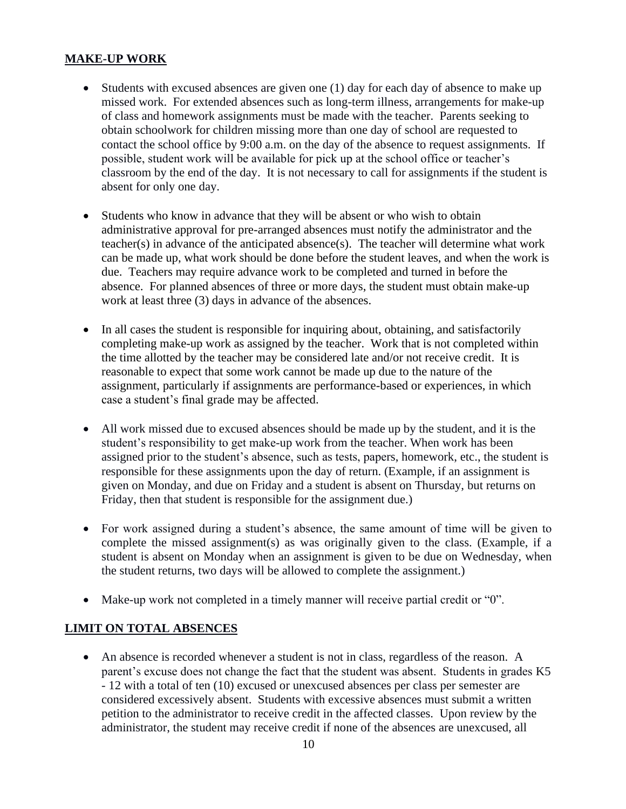# **MAKE-UP WORK**

- Students with excused absences are given one (1) day for each day of absence to make up missed work. For extended absences such as long-term illness, arrangements for make-up of class and homework assignments must be made with the teacher. Parents seeking to obtain schoolwork for children missing more than one day of school are requested to contact the school office by 9:00 a.m. on the day of the absence to request assignments. If possible, student work will be available for pick up at the school office or teacher's classroom by the end of the day. It is not necessary to call for assignments if the student is absent for only one day.
- Students who know in advance that they will be absent or who wish to obtain administrative approval for pre-arranged absences must notify the administrator and the teacher(s) in advance of the anticipated absence(s). The teacher will determine what work can be made up, what work should be done before the student leaves, and when the work is due. Teachers may require advance work to be completed and turned in before the absence. For planned absences of three or more days, the student must obtain make-up work at least three (3) days in advance of the absences.
- In all cases the student is responsible for inquiring about, obtaining, and satisfactorily completing make-up work as assigned by the teacher. Work that is not completed within the time allotted by the teacher may be considered late and/or not receive credit. It is reasonable to expect that some work cannot be made up due to the nature of the assignment, particularly if assignments are performance-based or experiences, in which case a student's final grade may be affected.
- All work missed due to excused absences should be made up by the student, and it is the student's responsibility to get make-up work from the teacher. When work has been assigned prior to the student's absence, such as tests, papers, homework, etc., the student is responsible for these assignments upon the day of return. (Example, if an assignment is given on Monday, and due on Friday and a student is absent on Thursday, but returns on Friday, then that student is responsible for the assignment due.)
- For work assigned during a student's absence, the same amount of time will be given to complete the missed assignment(s) as was originally given to the class. (Example, if a student is absent on Monday when an assignment is given to be due on Wednesday, when the student returns, two days will be allowed to complete the assignment.)
- Make-up work not completed in a timely manner will receive partial credit or "0".

# **LIMIT ON TOTAL ABSENCES**

• An absence is recorded whenever a student is not in class, regardless of the reason. A parent's excuse does not change the fact that the student was absent. Students in grades K5 - 12 with a total of ten (10) excused or unexcused absences per class per semester are considered excessively absent. Students with excessive absences must submit a written petition to the administrator to receive credit in the affected classes. Upon review by the administrator, the student may receive credit if none of the absences are unexcused, all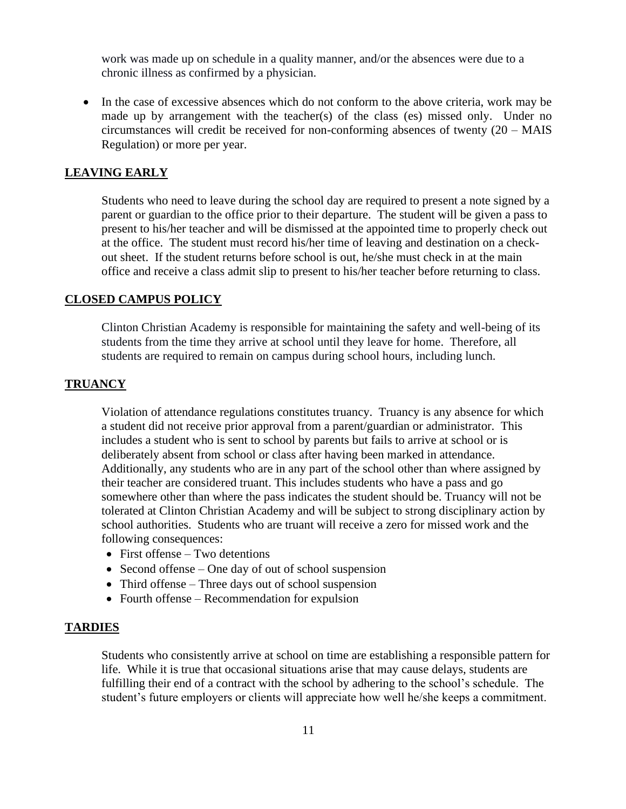work was made up on schedule in a quality manner, and/or the absences were due to a chronic illness as confirmed by a physician.

• In the case of excessive absences which do not conform to the above criteria, work may be made up by arrangement with the teacher(s) of the class (es) missed only. Under no circumstances will credit be received for non-conforming absences of twenty (20 – MAIS Regulation) or more per year.

#### **LEAVING EARLY**

Students who need to leave during the school day are required to present a note signed by a parent or guardian to the office prior to their departure. The student will be given a pass to present to his/her teacher and will be dismissed at the appointed time to properly check out at the office. The student must record his/her time of leaving and destination on a checkout sheet. If the student returns before school is out, he/she must check in at the main office and receive a class admit slip to present to his/her teacher before returning to class.

## **CLOSED CAMPUS POLICY**

Clinton Christian Academy is responsible for maintaining the safety and well-being of its students from the time they arrive at school until they leave for home. Therefore, all students are required to remain on campus during school hours, including lunch.

## **TRUANCY**

Violation of attendance regulations constitutes truancy. Truancy is any absence for which a student did not receive prior approval from a parent/guardian or administrator. This includes a student who is sent to school by parents but fails to arrive at school or is deliberately absent from school or class after having been marked in attendance. Additionally, any students who are in any part of the school other than where assigned by their teacher are considered truant. This includes students who have a pass and go somewhere other than where the pass indicates the student should be. Truancy will not be tolerated at Clinton Christian Academy and will be subject to strong disciplinary action by school authorities. Students who are truant will receive a zero for missed work and the following consequences:

- First offense Two detentions
- Second offense One day of out of school suspension
- Third offense Three days out of school suspension
- Fourth offense Recommendation for expulsion

#### **TARDIES**

Students who consistently arrive at school on time are establishing a responsible pattern for life. While it is true that occasional situations arise that may cause delays, students are fulfilling their end of a contract with the school by adhering to the school's schedule. The student's future employers or clients will appreciate how well he/she keeps a commitment.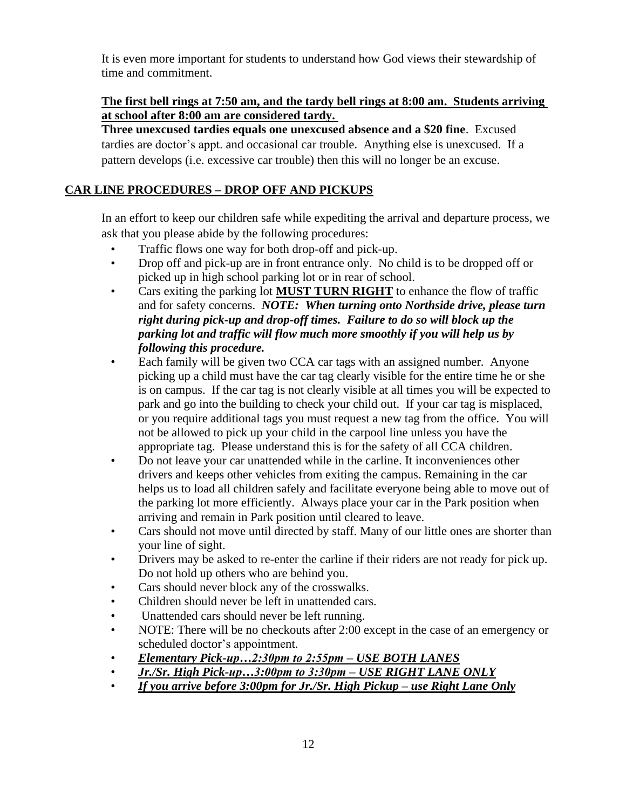It is even more important for students to understand how God views their stewardship of time and commitment.

# **The first bell rings at 7:50 am, and the tardy bell rings at 8:00 am. Students arriving at school after 8:00 am are considered tardy.**

**Three unexcused tardies equals one unexcused absence and a \$20 fine**. Excused tardies are doctor's appt. and occasional car trouble. Anything else is unexcused. If a pattern develops (i.e. excessive car trouble) then this will no longer be an excuse.

# **CAR LINE PROCEDURES – DROP OFF AND PICKUPS**

In an effort to keep our children safe while expediting the arrival and departure process, we ask that you please abide by the following procedures:

- Traffic flows one way for both drop-off and pick-up.
- Drop off and pick-up are in front entrance only. No child is to be dropped off or picked up in high school parking lot or in rear of school.
- Cars exiting the parking lot **MUST TURN RIGHT** to enhance the flow of traffic and for safety concerns. *NOTE: When turning onto Northside drive, please turn right during pick-up and drop-off times. Failure to do so will block up the parking lot and traffic will flow much more smoothly if you will help us by following this procedure.*
- Each family will be given two CCA car tags with an assigned number. Anyone picking up a child must have the car tag clearly visible for the entire time he or she is on campus. If the car tag is not clearly visible at all times you will be expected to park and go into the building to check your child out. If your car tag is misplaced, or you require additional tags you must request a new tag from the office. You will not be allowed to pick up your child in the carpool line unless you have the appropriate tag. Please understand this is for the safety of all CCA children.
- Do not leave your car unattended while in the carline. It inconveniences other drivers and keeps other vehicles from exiting the campus. Remaining in the car helps us to load all children safely and facilitate everyone being able to move out of the parking lot more efficiently. Always place your car in the Park position when arriving and remain in Park position until cleared to leave.
- Cars should not move until directed by staff. Many of our little ones are shorter than your line of sight.
- Drivers may be asked to re-enter the carline if their riders are not ready for pick up. Do not hold up others who are behind you.
- Cars should never block any of the crosswalks.
- Children should never be left in unattended cars.
- Unattended cars should never be left running.
- NOTE: There will be no checkouts after 2:00 except in the case of an emergency or scheduled doctor's appointment.
- *Elementary Pick-up…2:30pm to 2:55pm – USE BOTH LANES*
- *Jr./Sr. High Pick-up…3:00pm to 3:30pm – USE RIGHT LANE ONLY*
- *If you arrive before 3:00pm for Jr./Sr. High Pickup – use Right Lane Only*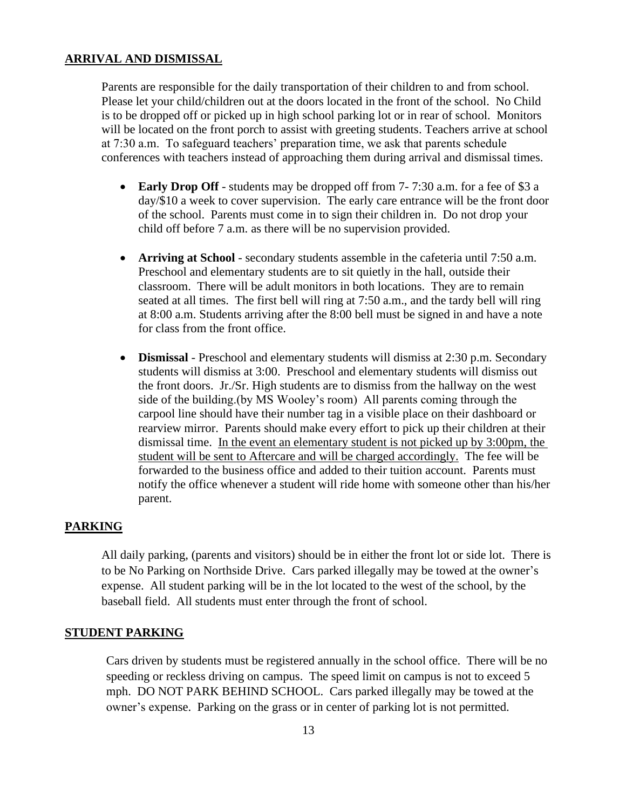## **ARRIVAL AND DISMISSAL**

Parents are responsible for the daily transportation of their children to and from school. Please let your child/children out at the doors located in the front of the school. No Child is to be dropped off or picked up in high school parking lot or in rear of school. Monitors will be located on the front porch to assist with greeting students. Teachers arrive at school at 7:30 a.m. To safeguard teachers' preparation time, we ask that parents schedule conferences with teachers instead of approaching them during arrival and dismissal times.

- **Early Drop Off** students may be dropped off from 7-7:30 a.m. for a fee of \$3 a day/\$10 a week to cover supervision. The early care entrance will be the front door of the school. Parents must come in to sign their children in. Do not drop your child off before 7 a.m. as there will be no supervision provided.
- **Arriving at School** secondary students assemble in the cafeteria until 7:50 a.m. Preschool and elementary students are to sit quietly in the hall, outside their classroom. There will be adult monitors in both locations. They are to remain seated at all times. The first bell will ring at 7:50 a.m., and the tardy bell will ring at 8:00 a.m. Students arriving after the 8:00 bell must be signed in and have a note for class from the front office.
- **Dismissal** Preschool and elementary students will dismiss at 2:30 p.m. Secondary students will dismiss at 3:00. Preschool and elementary students will dismiss out the front doors. Jr./Sr. High students are to dismiss from the hallway on the west side of the building.(by MS Wooley's room) All parents coming through the carpool line should have their number tag in a visible place on their dashboard or rearview mirror. Parents should make every effort to pick up their children at their dismissal time. In the event an elementary student is not picked up by 3:00pm, the student will be sent to Aftercare and will be charged accordingly. The fee will be forwarded to the business office and added to their tuition account. Parents must notify the office whenever a student will ride home with someone other than his/her parent.

## **PARKING**

All daily parking, (parents and visitors) should be in either the front lot or side lot. There is to be No Parking on Northside Drive. Cars parked illegally may be towed at the owner's expense. All student parking will be in the lot located to the west of the school, by the baseball field. All students must enter through the front of school.

#### **STUDENT PARKING**

Cars driven by students must be registered annually in the school office. There will be no speeding or reckless driving on campus. The speed limit on campus is not to exceed 5 mph. DO NOT PARK BEHIND SCHOOL. Cars parked illegally may be towed at the owner's expense. Parking on the grass or in center of parking lot is not permitted.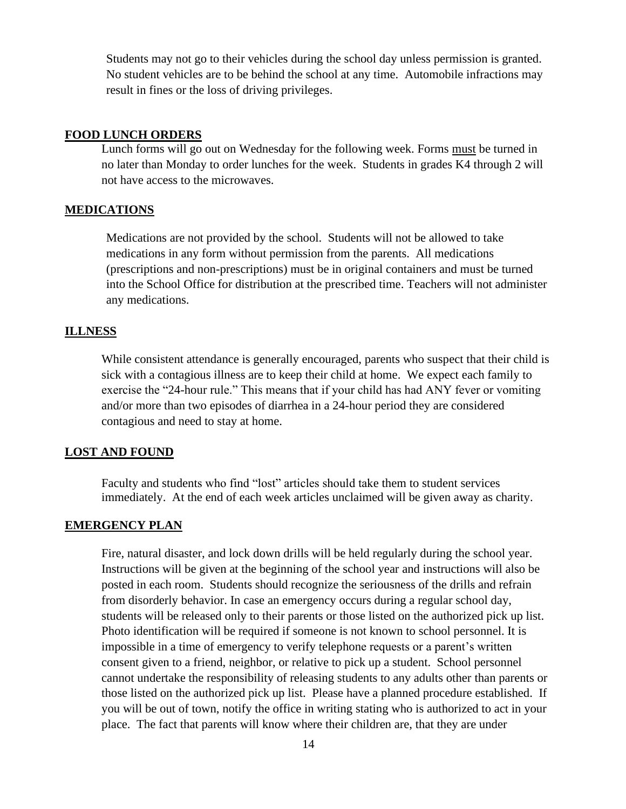Students may not go to their vehicles during the school day unless permission is granted. No student vehicles are to be behind the school at any time. Automobile infractions may result in fines or the loss of driving privileges.

## **FOOD LUNCH ORDERS**

Lunch forms will go out on Wednesday for the following week. Forms must be turned in no later than Monday to order lunches for the week. Students in grades K4 through 2 will not have access to the microwaves.

## **MEDICATIONS**

Medications are not provided by the school. Students will not be allowed to take medications in any form without permission from the parents. All medications (prescriptions and non-prescriptions) must be in original containers and must be turned into the School Office for distribution at the prescribed time. Teachers will not administer any medications.

## **ILLNESS**

While consistent attendance is generally encouraged, parents who suspect that their child is sick with a contagious illness are to keep their child at home. We expect each family to exercise the "24-hour rule." This means that if your child has had ANY fever or vomiting and/or more than two episodes of diarrhea in a 24-hour period they are considered contagious and need to stay at home.

## **LOST AND FOUND**

Faculty and students who find "lost" articles should take them to student services immediately. At the end of each week articles unclaimed will be given away as charity.

## **EMERGENCY PLAN**

Fire, natural disaster, and lock down drills will be held regularly during the school year. Instructions will be given at the beginning of the school year and instructions will also be posted in each room. Students should recognize the seriousness of the drills and refrain from disorderly behavior. In case an emergency occurs during a regular school day, students will be released only to their parents or those listed on the authorized pick up list. Photo identification will be required if someone is not known to school personnel. It is impossible in a time of emergency to verify telephone requests or a parent's written consent given to a friend, neighbor, or relative to pick up a student. School personnel cannot undertake the responsibility of releasing students to any adults other than parents or those listed on the authorized pick up list. Please have a planned procedure established. If you will be out of town, notify the office in writing stating who is authorized to act in your place. The fact that parents will know where their children are, that they are under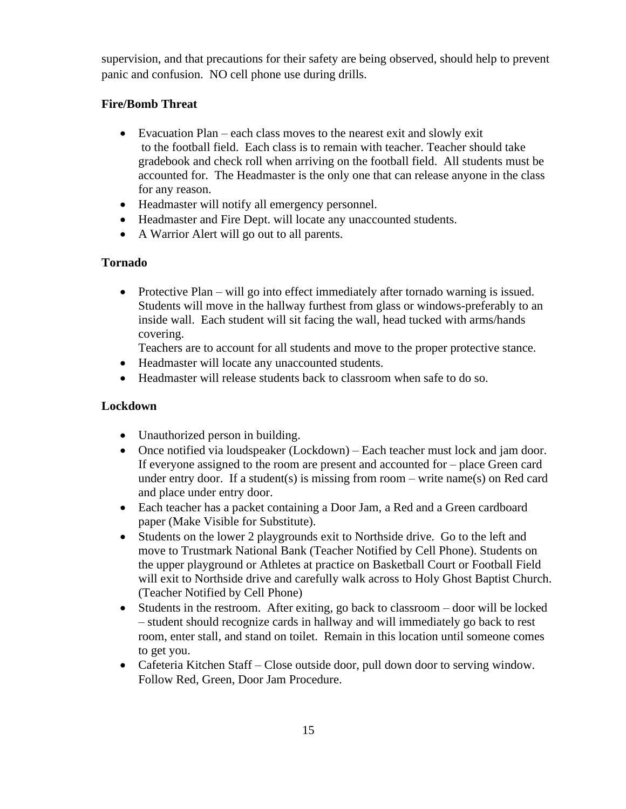supervision, and that precautions for their safety are being observed, should help to prevent panic and confusion. NO cell phone use during drills.

# **Fire/Bomb Threat**

- Evacuation Plan each class moves to the nearest exit and slowly exit to the football field. Each class is to remain with teacher. Teacher should take gradebook and check roll when arriving on the football field. All students must be accounted for. The Headmaster is the only one that can release anyone in the class for any reason.
- Headmaster will notify all emergency personnel.
- Headmaster and Fire Dept. will locate any unaccounted students.
- A Warrior Alert will go out to all parents.

# **Tornado**

• Protective Plan – will go into effect immediately after tornado warning is issued. Students will move in the hallway furthest from glass or windows-preferably to an inside wall. Each student will sit facing the wall, head tucked with arms/hands covering.

Teachers are to account for all students and move to the proper protective stance.

- Headmaster will locate any unaccounted students.
- Headmaster will release students back to classroom when safe to do so.

# **Lockdown**

- Unauthorized person in building.
- Once notified via loudspeaker (Lockdown) Each teacher must lock and jam door. If everyone assigned to the room are present and accounted for – place Green card under entry door. If a student(s) is missing from room – write name(s) on Red card and place under entry door.
- Each teacher has a packet containing a Door Jam, a Red and a Green cardboard paper (Make Visible for Substitute).
- Students on the lower 2 playgrounds exit to Northside drive. Go to the left and move to Trustmark National Bank (Teacher Notified by Cell Phone). Students on the upper playground or Athletes at practice on Basketball Court or Football Field will exit to Northside drive and carefully walk across to Holy Ghost Baptist Church. (Teacher Notified by Cell Phone)
- Students in the restroom. After exiting, go back to classroom door will be locked – student should recognize cards in hallway and will immediately go back to rest room, enter stall, and stand on toilet. Remain in this location until someone comes to get you.
- Cafeteria Kitchen Staff Close outside door, pull down door to serving window. Follow Red, Green, Door Jam Procedure.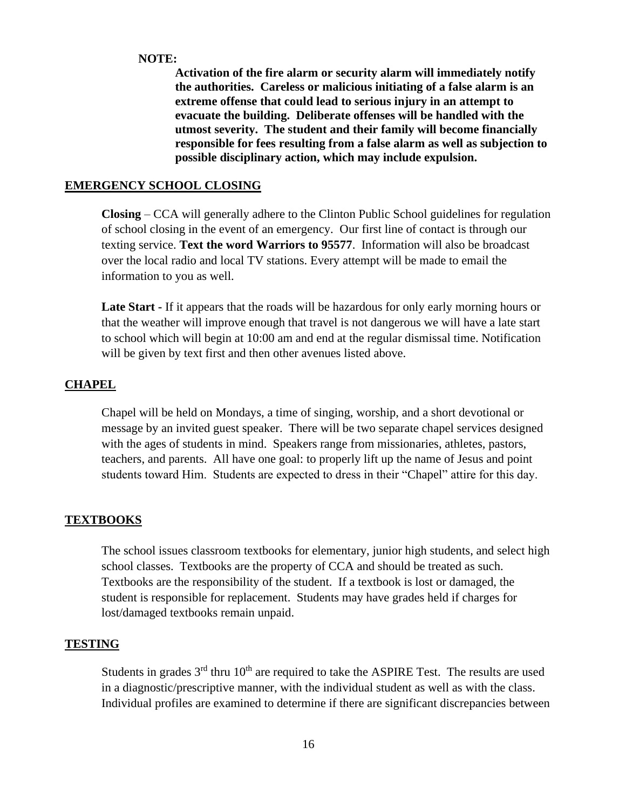## **NOTE:**

**Activation of the fire alarm or security alarm will immediately notify the authorities. Careless or malicious initiating of a false alarm is an extreme offense that could lead to serious injury in an attempt to evacuate the building. Deliberate offenses will be handled with the utmost severity. The student and their family will become financially responsible for fees resulting from a false alarm as well as subjection to possible disciplinary action, which may include expulsion.** 

# **EMERGENCY SCHOOL CLOSING**

**Closing** – CCA will generally adhere to the Clinton Public School guidelines for regulation of school closing in the event of an emergency. Our first line of contact is through our texting service. **Text the word Warriors to 95577**. Information will also be broadcast over the local radio and local TV stations. Every attempt will be made to email the information to you as well.

**Late Start -** If it appears that the roads will be hazardous for only early morning hours or that the weather will improve enough that travel is not dangerous we will have a late start to school which will begin at 10:00 am and end at the regular dismissal time. Notification will be given by text first and then other avenues listed above.

## **CHAPEL**

Chapel will be held on Mondays, a time of singing, worship, and a short devotional or message by an invited guest speaker. There will be two separate chapel services designed with the ages of students in mind. Speakers range from missionaries, athletes, pastors, teachers, and parents. All have one goal: to properly lift up the name of Jesus and point students toward Him. Students are expected to dress in their "Chapel" attire for this day.

# **TEXTBOOKS**

The school issues classroom textbooks for elementary, junior high students, and select high school classes. Textbooks are the property of CCA and should be treated as such. Textbooks are the responsibility of the student. If a textbook is lost or damaged, the student is responsible for replacement. Students may have grades held if charges for lost/damaged textbooks remain unpaid.

## **TESTING**

Students in grades  $3<sup>rd</sup>$  thru  $10<sup>th</sup>$  are required to take the ASPIRE Test. The results are used in a diagnostic/prescriptive manner, with the individual student as well as with the class. Individual profiles are examined to determine if there are significant discrepancies between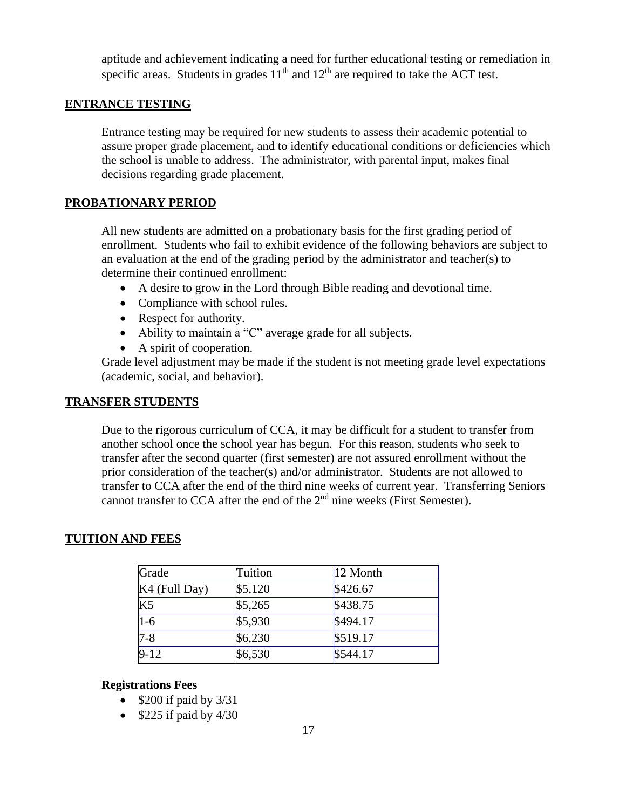aptitude and achievement indicating a need for further educational testing or remediation in specific areas. Students in grades  $11<sup>th</sup>$  and  $12<sup>th</sup>$  are required to take the ACT test.

## **ENTRANCE TESTING**

Entrance testing may be required for new students to assess their academic potential to assure proper grade placement, and to identify educational conditions or deficiencies which the school is unable to address. The administrator, with parental input, makes final decisions regarding grade placement.

## **PROBATIONARY PERIOD**

All new students are admitted on a probationary basis for the first grading period of enrollment. Students who fail to exhibit evidence of the following behaviors are subject to an evaluation at the end of the grading period by the administrator and teacher(s) to determine their continued enrollment:

- A desire to grow in the Lord through Bible reading and devotional time.
- Compliance with school rules.
- Respect for authority.
- Ability to maintain a "C" average grade for all subjects.
- A spirit of cooperation.

Grade level adjustment may be made if the student is not meeting grade level expectations (academic, social, and behavior).

## **TRANSFER STUDENTS**

Due to the rigorous curriculum of CCA, it may be difficult for a student to transfer from another school once the school year has begun. For this reason, students who seek to transfer after the second quarter (first semester) are not assured enrollment without the prior consideration of the teacher(s) and/or administrator. Students are not allowed to transfer to CCA after the end of the third nine weeks of current year. Transferring Seniors cannot transfer to CCA after the end of the  $2<sup>nd</sup>$  nine weeks (First Semester).

# **TUITION AND FEES**

| Grade         | Tuition | 12 Month |
|---------------|---------|----------|
| K4 (Full Day) | \$5,120 | \$426.67 |
| K5            | \$5,265 | \$438.75 |
| $1-6$         | \$5,930 | \$494.17 |
| $7 - 8$       | \$6,230 | \$519.17 |
| $9-12$        | \$6,530 | \$544.17 |

## **Registrations Fees**

- $$200$  if paid by  $3/31$
- $$225$  if paid by 4/30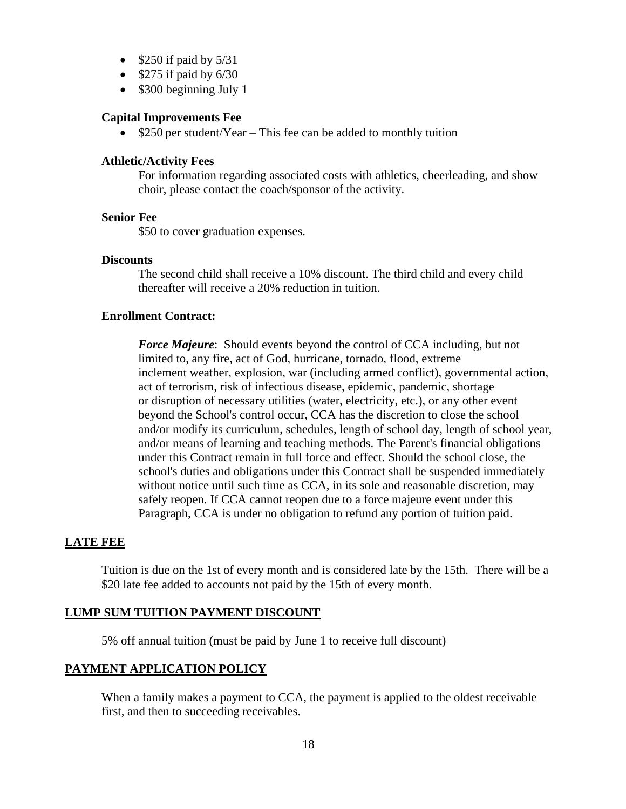- $$250$  if paid by  $5/31$
- $$275$  if paid by  $6/30$
- \$300 beginning July 1

## **Capital Improvements Fee**

• \$250 per student/Year – This fee can be added to monthly tuition

## **Athletic/Activity Fees**

For information regarding associated costs with athletics, cheerleading, and show choir, please contact the coach/sponsor of the activity.

#### **Senior Fee**

\$50 to cover graduation expenses.

## **Discounts**

The second child shall receive a 10% discount. The third child and every child thereafter will receive a 20% reduction in tuition.

## **Enrollment Contract:**

*Force Majeure*: Should events beyond the control of CCA including, but not limited to, any fire, act of God, hurricane, tornado, flood, extreme inclement weather, explosion, war (including armed conflict), governmental action, act of terrorism, risk of infectious disease, epidemic, pandemic, shortage or disruption of necessary utilities (water, electricity, etc.), or any other event beyond the School's control occur, CCA has the discretion to close the school and/or modify its curriculum, schedules, length of school day, length of school year, and/or means of learning and teaching methods. The Parent's financial obligations under this Contract remain in full force and effect. Should the school close, the school's duties and obligations under this Contract shall be suspended immediately without notice until such time as CCA, in its sole and reasonable discretion, may safely reopen. If CCA cannot reopen due to a force majeure event under this Paragraph, CCA is under no obligation to refund any portion of tuition paid.

## **LATE FEE**

Tuition is due on the 1st of every month and is considered late by the 15th. There will be a \$20 late fee added to accounts not paid by the 15th of every month.

## **LUMP SUM TUITION PAYMENT DISCOUNT**

5% off annual tuition (must be paid by June 1 to receive full discount)

## **PAYMENT APPLICATION POLICY**

When a family makes a payment to CCA, the payment is applied to the oldest receivable first, and then to succeeding receivables.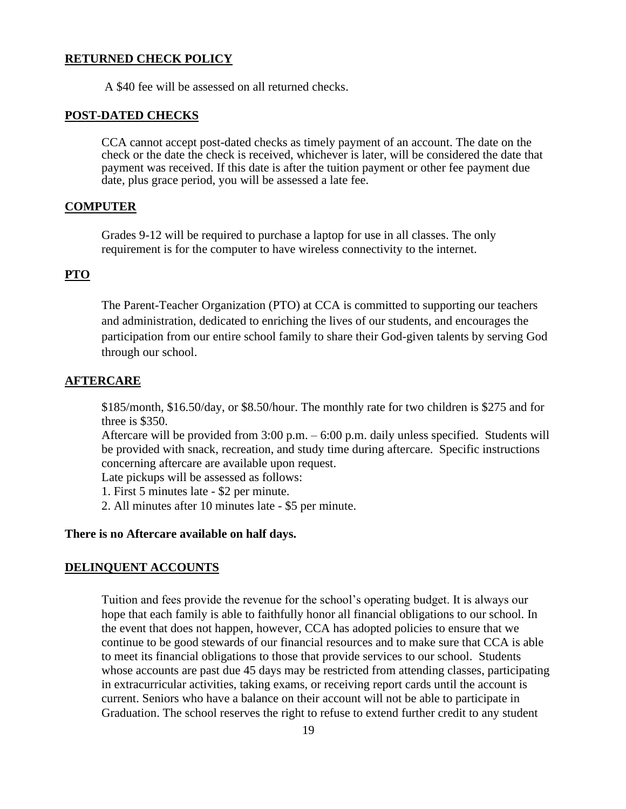#### **RETURNED CHECK POLICY**

A \$40 fee will be assessed on all returned checks.

#### **POST-DATED CHECKS**

CCA cannot accept post-dated checks as timely payment of an account. The date on the check or the date the check is received, whichever is later, will be considered the date that payment was received. If this date is after the tuition payment or other fee payment due date, plus grace period, you will be assessed a late fee.

## **COMPUTER**

Grades 9-12 will be required to purchase a laptop for use in all classes. The only requirement is for the computer to have wireless connectivity to the internet.

## **PTO**

The Parent-Teacher Organization (PTO) at CCA is committed to supporting our teachers and administration, dedicated to enriching the lives of our students, and encourages the participation from our entire school family to share their God-given talents by serving God through our school.

#### **AFTERCARE**

\$185/month, \$16.50/day, or \$8.50/hour. The monthly rate for two children is \$275 and for three is \$350.

Aftercare will be provided from 3:00 p.m. – 6:00 p.m. daily unless specified. Students will be provided with snack, recreation, and study time during aftercare. Specific instructions concerning aftercare are available upon request.

Late pickups will be assessed as follows:

1. First 5 minutes late - \$2 per minute.

2. All minutes after 10 minutes late - \$5 per minute.

## **There is no Aftercare available on half days.**

## **DELINQUENT ACCOUNTS**

Tuition and fees provide the revenue for the school's operating budget. It is always our hope that each family is able to faithfully honor all financial obligations to our school. In the event that does not happen, however, CCA has adopted policies to ensure that we continue to be good stewards of our financial resources and to make sure that CCA is able to meet its financial obligations to those that provide services to our school. Students whose accounts are past due 45 days may be restricted from attending classes, participating in extracurricular activities, taking exams, or receiving report cards until the account is current. Seniors who have a balance on their account will not be able to participate in Graduation. The school reserves the right to refuse to extend further credit to any student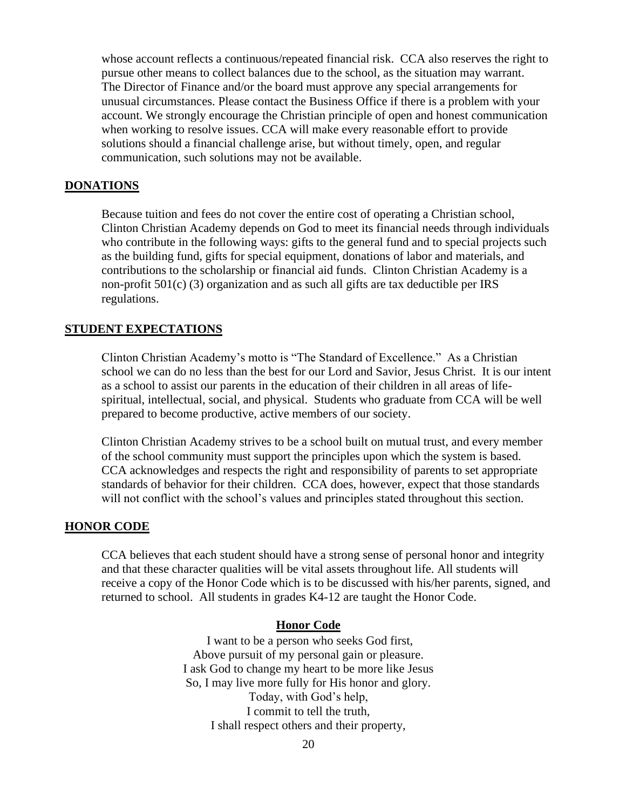whose account reflects a continuous/repeated financial risk. CCA also reserves the right to pursue other means to collect balances due to the school, as the situation may warrant. The Director of Finance and/or the board must approve any special arrangements for unusual circumstances. Please contact the Business Office if there is a problem with your account. We strongly encourage the Christian principle of open and honest communication when working to resolve issues. CCA will make every reasonable effort to provide solutions should a financial challenge arise, but without timely, open, and regular communication, such solutions may not be available.

## **DONATIONS**

Because tuition and fees do not cover the entire cost of operating a Christian school, Clinton Christian Academy depends on God to meet its financial needs through individuals who contribute in the following ways: gifts to the general fund and to special projects such as the building fund, gifts for special equipment, donations of labor and materials, and contributions to the scholarship or financial aid funds. Clinton Christian Academy is a non-profit 501(c) (3) organization and as such all gifts are tax deductible per IRS regulations.

## **STUDENT EXPECTATIONS**

Clinton Christian Academy's motto is "The Standard of Excellence." As a Christian school we can do no less than the best for our Lord and Savior, Jesus Christ. It is our intent as a school to assist our parents in the education of their children in all areas of lifespiritual, intellectual, social, and physical. Students who graduate from CCA will be well prepared to become productive, active members of our society.

Clinton Christian Academy strives to be a school built on mutual trust, and every member of the school community must support the principles upon which the system is based. CCA acknowledges and respects the right and responsibility of parents to set appropriate standards of behavior for their children. CCA does, however, expect that those standards will not conflict with the school's values and principles stated throughout this section.

#### **HONOR CODE**

CCA believes that each student should have a strong sense of personal honor and integrity and that these character qualities will be vital assets throughout life. All students will receive a copy of the Honor Code which is to be discussed with his/her parents, signed, and returned to school. All students in grades K4-12 are taught the Honor Code.

#### **Honor Code**

I want to be a person who seeks God first, Above pursuit of my personal gain or pleasure. I ask God to change my heart to be more like Jesus So, I may live more fully for His honor and glory. Today, with God's help, I commit to tell the truth, I shall respect others and their property,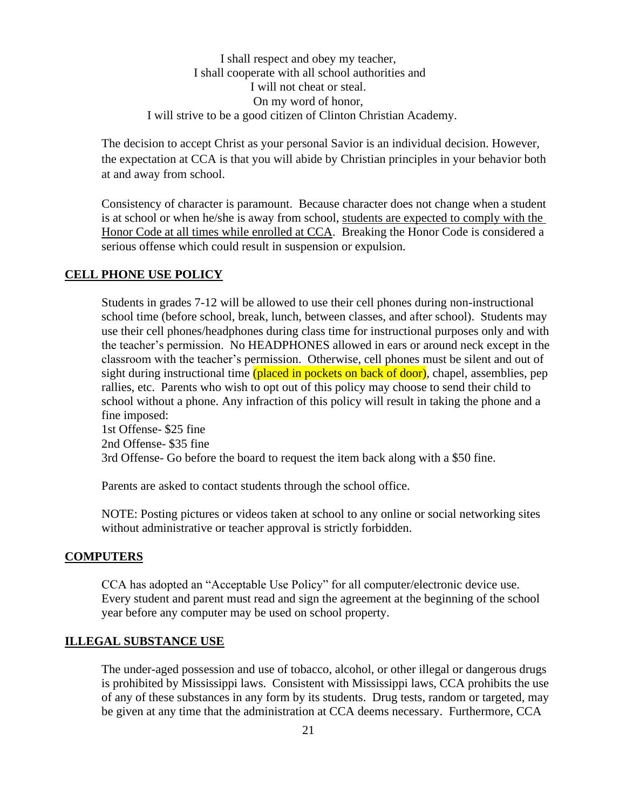I shall respect and obey my teacher, I shall cooperate with all school authorities and I will not cheat or steal. On my word of honor, I will strive to be a good citizen of Clinton Christian Academy.

The decision to accept Christ as your personal Savior is an individual decision. However, the expectation at CCA is that you will abide by Christian principles in your behavior both at and away from school.

Consistency of character is paramount. Because character does not change when a student is at school or when he/she is away from school, students are expected to comply with the Honor Code at all times while enrolled at CCA. Breaking the Honor Code is considered a serious offense which could result in suspension or expulsion.

## **CELL PHONE USE POLICY**

Students in grades 7-12 will be allowed to use their cell phones during non-instructional school time (before school, break, lunch, between classes, and after school). Students may use their cell phones/headphones during class time for instructional purposes only and with the teacher's permission. No HEADPHONES allowed in ears or around neck except in the classroom with the teacher's permission. Otherwise, cell phones must be silent and out of sight during instructional time (placed in pockets on back of door), chapel, assemblies, pep rallies, etc. Parents who wish to opt out of this policy may choose to send their child to school without a phone. Any infraction of this policy will result in taking the phone and a fine imposed: 1st Offense- \$25 fine 2nd Offense- \$35 fine

3rd Offense- Go before the board to request the item back along with a \$50 fine.

Parents are asked to contact students through the school office.

NOTE: Posting pictures or videos taken at school to any online or social networking sites without administrative or teacher approval is strictly forbidden.

## **COMPUTERS**

CCA has adopted an "Acceptable Use Policy" for all computer/electronic device use. Every student and parent must read and sign the agreement at the beginning of the school year before any computer may be used on school property.

## **ILLEGAL SUBSTANCE USE**

The under-aged possession and use of tobacco, alcohol, or other illegal or dangerous drugs is prohibited by Mississippi laws. Consistent with Mississippi laws, CCA prohibits the use of any of these substances in any form by its students. Drug tests, random or targeted, may be given at any time that the administration at CCA deems necessary. Furthermore, CCA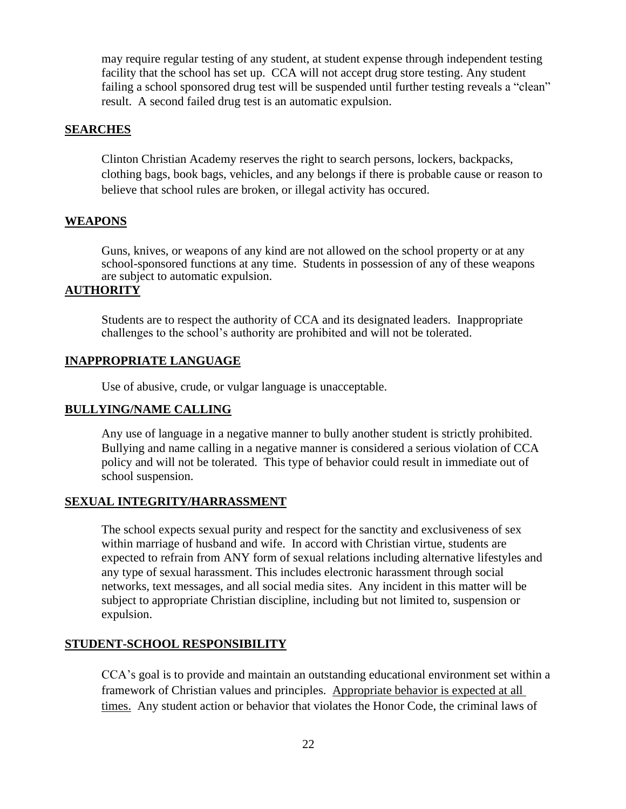may require regular testing of any student, at student expense through independent testing facility that the school has set up. CCA will not accept drug store testing. Any student failing a school sponsored drug test will be suspended until further testing reveals a "clean" result. A second failed drug test is an automatic expulsion.

## **SEARCHES**

Clinton Christian Academy reserves the right to search persons, lockers, backpacks, clothing bags, book bags, vehicles, and any belongs if there is probable cause or reason to believe that school rules are broken, or illegal activity has occured.

#### **WEAPONS**

Guns, knives, or weapons of any kind are not allowed on the school property or at any school-sponsored functions at any time. Students in possession of any of these weapons are subject to automatic expulsion.

## **AUTHORITY**

Students are to respect the authority of CCA and its designated leaders. Inappropriate challenges to the school's authority are prohibited and will not be tolerated.

## **INAPPROPRIATE LANGUAGE**

Use of abusive, crude, or vulgar language is unacceptable.

## **BULLYING/NAME CALLING**

Any use of language in a negative manner to bully another student is strictly prohibited. Bullying and name calling in a negative manner is considered a serious violation of CCA policy and will not be tolerated. This type of behavior could result in immediate out of school suspension.

## **SEXUAL INTEGRITY/HARRASSMENT**

The school expects sexual purity and respect for the sanctity and exclusiveness of sex within marriage of husband and wife. In accord with Christian virtue, students are expected to refrain from ANY form of sexual relations including alternative lifestyles and any type of sexual harassment. This includes electronic harassment through social networks, text messages, and all social media sites. Any incident in this matter will be subject to appropriate Christian discipline, including but not limited to, suspension or expulsion.

#### **STUDENT-SCHOOL RESPONSIBILITY**

CCA's goal is to provide and maintain an outstanding educational environment set within a framework of Christian values and principles. Appropriate behavior is expected at all times. Any student action or behavior that violates the Honor Code, the criminal laws of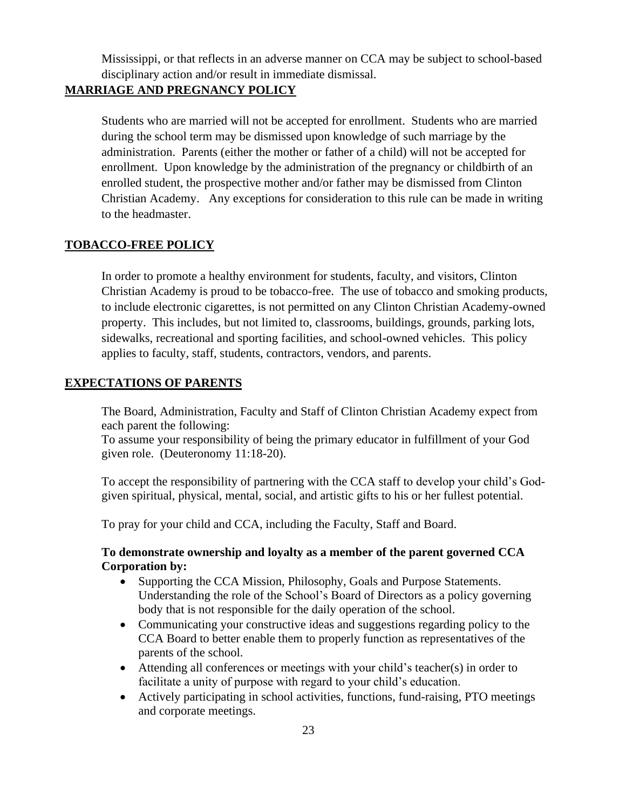Mississippi, or that reflects in an adverse manner on CCA may be subject to school-based disciplinary action and/or result in immediate dismissal.

# **MARRIAGE AND PREGNANCY POLICY**

Students who are married will not be accepted for enrollment. Students who are married during the school term may be dismissed upon knowledge of such marriage by the administration. Parents (either the mother or father of a child) will not be accepted for enrollment. Upon knowledge by the administration of the pregnancy or childbirth of an enrolled student, the prospective mother and/or father may be dismissed from Clinton Christian Academy. Any exceptions for consideration to this rule can be made in writing to the headmaster.

# **TOBACCO-FREE POLICY**

In order to promote a healthy environment for students, faculty, and visitors, Clinton Christian Academy is proud to be tobacco-free. The use of tobacco and smoking products, to include electronic cigarettes, is not permitted on any Clinton Christian Academy-owned property. This includes, but not limited to, classrooms, buildings, grounds, parking lots, sidewalks, recreational and sporting facilities, and school-owned vehicles. This policy applies to faculty, staff, students, contractors, vendors, and parents.

# **EXPECTATIONS OF PARENTS**

The Board, Administration, Faculty and Staff of Clinton Christian Academy expect from each parent the following:

To assume your responsibility of being the primary educator in fulfillment of your God given role. (Deuteronomy 11:18-20).

To accept the responsibility of partnering with the CCA staff to develop your child's Godgiven spiritual, physical, mental, social, and artistic gifts to his or her fullest potential.

To pray for your child and CCA, including the Faculty, Staff and Board.

# **To demonstrate ownership and loyalty as a member of the parent governed CCA Corporation by:**

- Supporting the CCA Mission, Philosophy, Goals and Purpose Statements. Understanding the role of the School's Board of Directors as a policy governing body that is not responsible for the daily operation of the school.
- Communicating your constructive ideas and suggestions regarding policy to the CCA Board to better enable them to properly function as representatives of the parents of the school.
- Attending all conferences or meetings with your child's teacher(s) in order to facilitate a unity of purpose with regard to your child's education.
- Actively participating in school activities, functions, fund-raising, PTO meetings and corporate meetings.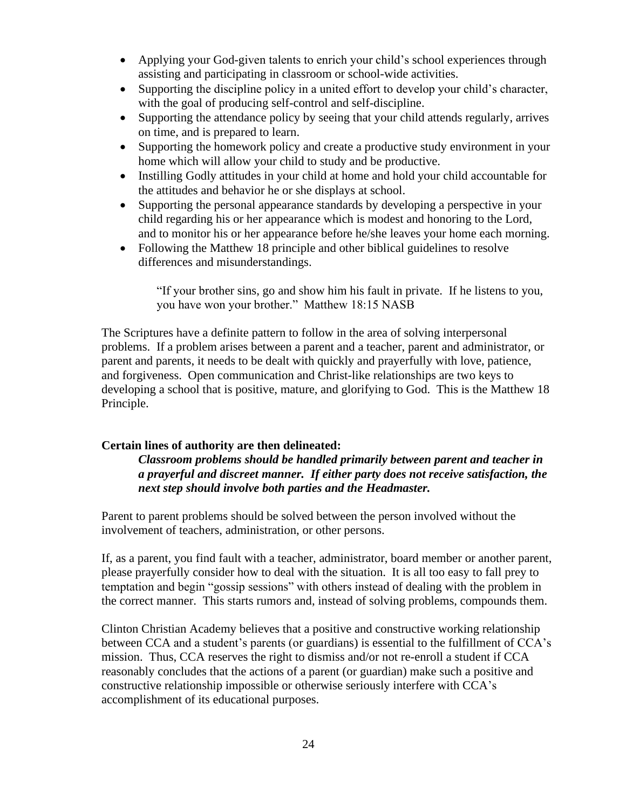- Applying your God-given talents to enrich your child's school experiences through assisting and participating in classroom or school-wide activities.
- Supporting the discipline policy in a united effort to develop your child's character, with the goal of producing self-control and self-discipline.
- Supporting the attendance policy by seeing that your child attends regularly, arrives on time, and is prepared to learn.
- Supporting the homework policy and create a productive study environment in your home which will allow your child to study and be productive.
- Instilling Godly attitudes in your child at home and hold your child accountable for the attitudes and behavior he or she displays at school.
- Supporting the personal appearance standards by developing a perspective in your child regarding his or her appearance which is modest and honoring to the Lord, and to monitor his or her appearance before he/she leaves your home each morning.
- Following the Matthew 18 principle and other biblical guidelines to resolve differences and misunderstandings.

"If your brother sins, go and show him his fault in private. If he listens to you, you have won your brother." Matthew 18:15 NASB

The Scriptures have a definite pattern to follow in the area of solving interpersonal problems. If a problem arises between a parent and a teacher, parent and administrator, or parent and parents, it needs to be dealt with quickly and prayerfully with love, patience, and forgiveness. Open communication and Christ-like relationships are two keys to developing a school that is positive, mature, and glorifying to God. This is the Matthew 18 Principle.

# **Certain lines of authority are then delineated:**

*Classroom problems should be handled primarily between parent and teacher in a prayerful and discreet manner. If either party does not receive satisfaction, the next step should involve both parties and the Headmaster.*

Parent to parent problems should be solved between the person involved without the involvement of teachers, administration, or other persons.

If, as a parent, you find fault with a teacher, administrator, board member or another parent, please prayerfully consider how to deal with the situation. It is all too easy to fall prey to temptation and begin "gossip sessions" with others instead of dealing with the problem in the correct manner. This starts rumors and, instead of solving problems, compounds them.

Clinton Christian Academy believes that a positive and constructive working relationship between CCA and a student's parents (or guardians) is essential to the fulfillment of CCA's mission. Thus, CCA reserves the right to dismiss and/or not re-enroll a student if CCA reasonably concludes that the actions of a parent (or guardian) make such a positive and constructive relationship impossible or otherwise seriously interfere with CCA's accomplishment of its educational purposes.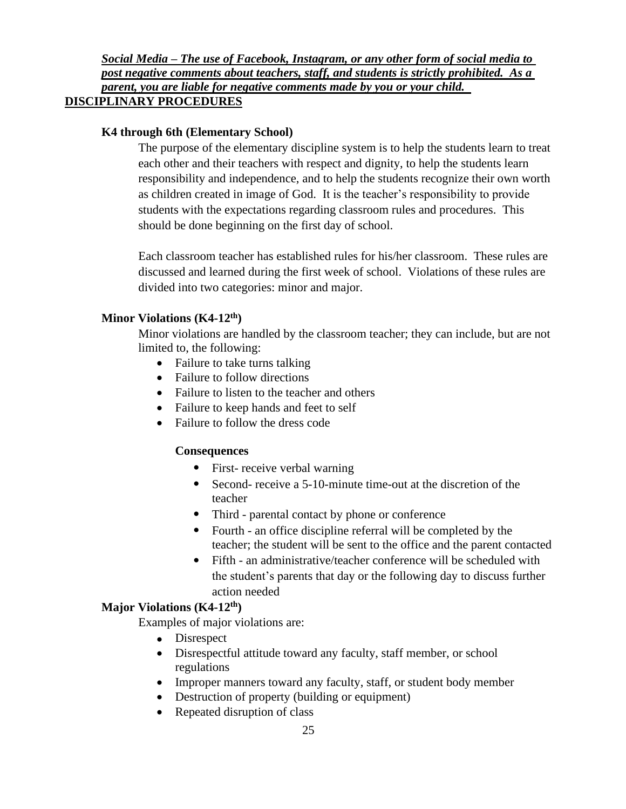# *Social Media – The use of Facebook, Instagram, or any other form of social media to post negative comments about teachers, staff, and students is strictly prohibited. As a parent, you are liable for negative comments made by you or your child.*  **DISCIPLINARY PROCEDURES**

# **K4 through 6th (Elementary School)**

The purpose of the elementary discipline system is to help the students learn to treat each other and their teachers with respect and dignity, to help the students learn responsibility and independence, and to help the students recognize their own worth as children created in image of God. It is the teacher's responsibility to provide students with the expectations regarding classroom rules and procedures. This should be done beginning on the first day of school.

Each classroom teacher has established rules for his/her classroom. These rules are discussed and learned during the first week of school. Violations of these rules are divided into two categories: minor and major.

# **Minor Violations (K4-12th)**

Minor violations are handled by the classroom teacher; they can include, but are not limited to, the following:

- Failure to take turns talking
- Failure to follow directions
- Failure to listen to the teacher and others
- Failure to keep hands and feet to self
- Failure to follow the dress code

# **Consequences**

- First- receive verbal warning
- Second- receive a 5-10-minute time-out at the discretion of the teacher
- Third parental contact by phone or conference
- Fourth an office discipline referral will be completed by the teacher; the student will be sent to the office and the parent contacted
- Fifth an administrative/teacher conference will be scheduled with the student's parents that day or the following day to discuss further action needed

# **Major Violations (K4-12th)**

Examples of major violations are:

- Disrespect
- Disrespectful attitude toward any faculty, staff member, or school regulations
- Improper manners toward any faculty, staff, or student body member
- Destruction of property (building or equipment)
- Repeated disruption of class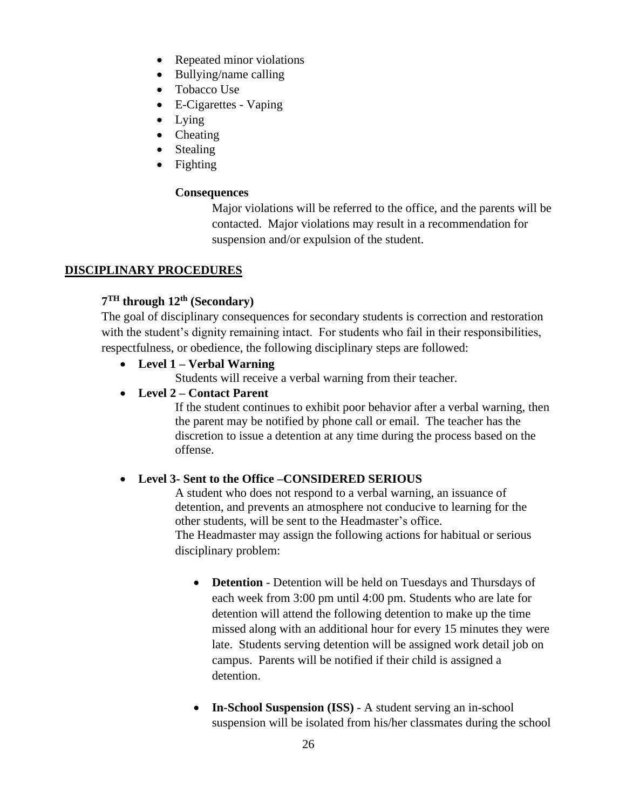- Repeated minor violations
- Bullying/name calling
- Tobacco Use
- E-Cigarettes Vaping
- Lying
- Cheating
- Stealing
- Fighting

# **Consequences**

Major violations will be referred to the office, and the parents will be contacted. Major violations may result in a recommendation for suspension and/or expulsion of the student.

# **DISCIPLINARY PROCEDURES**

# **7 TH through 12th (Secondary)**

The goal of disciplinary consequences for secondary students is correction and restoration with the student's dignity remaining intact. For students who fail in their responsibilities, respectfulness, or obedience, the following disciplinary steps are followed:

# • **Level 1 – Verbal Warning**

Students will receive a verbal warning from their teacher.

# • **Level 2 – Contact Parent**

If the student continues to exhibit poor behavior after a verbal warning, then the parent may be notified by phone call or email. The teacher has the discretion to issue a detention at any time during the process based on the offense.

# • **Level 3- Sent to the Office –CONSIDERED SERIOUS**

A student who does not respond to a verbal warning, an issuance of detention, and prevents an atmosphere not conducive to learning for the other students, will be sent to the Headmaster's office. The Headmaster may assign the following actions for habitual or serious disciplinary problem:

- **Detention** Detention will be held on Tuesdays and Thursdays of each week from 3:00 pm until 4:00 pm. Students who are late for detention will attend the following detention to make up the time missed along with an additional hour for every 15 minutes they were late. Students serving detention will be assigned work detail job on campus. Parents will be notified if their child is assigned a detention.
- **In-School Suspension (ISS)** A student serving an in-school suspension will be isolated from his/her classmates during the school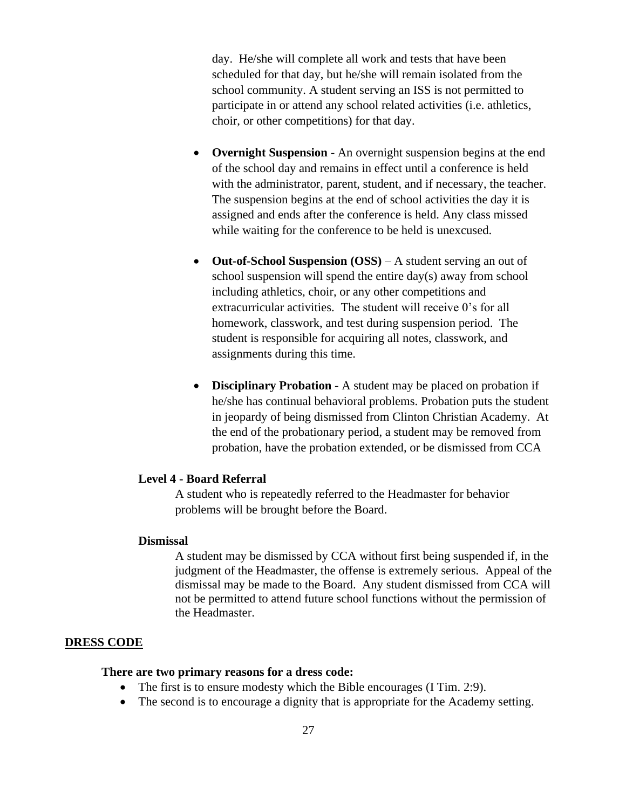day. He/she will complete all work and tests that have been scheduled for that day, but he/she will remain isolated from the school community. A student serving an ISS is not permitted to participate in or attend any school related activities (i.e. athletics, choir, or other competitions) for that day.

- **Overnight Suspension** An overnight suspension begins at the end of the school day and remains in effect until a conference is held with the administrator, parent, student, and if necessary, the teacher. The suspension begins at the end of school activities the day it is assigned and ends after the conference is held. Any class missed while waiting for the conference to be held is unexcused.
- **Out-of-School Suspension (OSS)** A student serving an out of school suspension will spend the entire day(s) away from school including athletics, choir, or any other competitions and extracurricular activities. The student will receive 0's for all homework, classwork, and test during suspension period. The student is responsible for acquiring all notes, classwork, and assignments during this time.
- **Disciplinary Probation** A student may be placed on probation if he/she has continual behavioral problems. Probation puts the student in jeopardy of being dismissed from Clinton Christian Academy. At the end of the probationary period, a student may be removed from probation, have the probation extended, or be dismissed from CCA

# **Level 4 - Board Referral**

A student who is repeatedly referred to the Headmaster for behavior problems will be brought before the Board.

## **Dismissal**

A student may be dismissed by CCA without first being suspended if, in the judgment of the Headmaster, the offense is extremely serious. Appeal of the dismissal may be made to the Board. Any student dismissed from CCA will not be permitted to attend future school functions without the permission of the Headmaster.

## **DRESS CODE**

## **There are two primary reasons for a dress code:**

- The first is to ensure modesty which the Bible encourages (I Tim. 2:9).
- The second is to encourage a dignity that is appropriate for the Academy setting.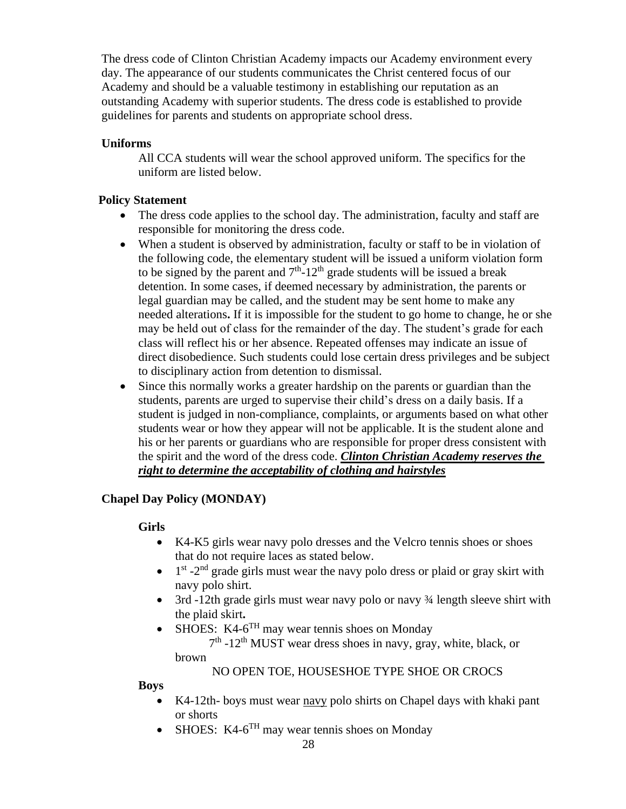The dress code of Clinton Christian Academy impacts our Academy environment every day. The appearance of our students communicates the Christ centered focus of our Academy and should be a valuable testimony in establishing our reputation as an outstanding Academy with superior students. The dress code is established to provide guidelines for parents and students on appropriate school dress.

# **Uniforms**

All CCA students will wear the school approved uniform. The specifics for the uniform are listed below.

# **Policy Statement**

- The dress code applies to the school day. The administration, faculty and staff are responsible for monitoring the dress code.
- When a student is observed by administration, faculty or staff to be in violation of the following code, the elementary student will be issued a uniform violation form to be signed by the parent and  $7<sup>th</sup>$ -12<sup>th</sup> grade students will be issued a break detention. In some cases, if deemed necessary by administration, the parents or legal guardian may be called, and the student may be sent home to make any needed alterations**.** If it is impossible for the student to go home to change, he or she may be held out of class for the remainder of the day. The student's grade for each class will reflect his or her absence. Repeated offenses may indicate an issue of direct disobedience. Such students could lose certain dress privileges and be subject to disciplinary action from detention to dismissal.
- Since this normally works a greater hardship on the parents or guardian than the students, parents are urged to supervise their child's dress on a daily basis. If a student is judged in non-compliance, complaints, or arguments based on what other students wear or how they appear will not be applicable. It is the student alone and his or her parents or guardians who are responsible for proper dress consistent with the spirit and the word of the dress code. *Clinton Christian Academy reserves the right to determine the acceptability of clothing and hairstyles*

# **Chapel Day Policy (MONDAY)**

# **Girls**

- K4-K5 girls wear navy polo dresses and the Velcro tennis shoes or shoes that do not require laces as stated below.
- $\bullet$  1<sup>st</sup> -2<sup>nd</sup> grade girls must wear the navy polo dress or plaid or gray skirt with navy polo shirt.
- 3rd -12th grade girls must wear navy polo or navy  $\frac{3}{4}$  length sleeve shirt with the plaid skirt**.**
- SHOES:  $K4-6<sup>TH</sup>$  may wear tennis shoes on Monday  $7<sup>th</sup>$  -12<sup>th</sup> MUST wear dress shoes in navy, gray, white, black, or brown

# NO OPEN TOE, HOUSESHOE TYPE SHOE OR CROCS

 **Boys**

- K4-12th- boys must wear navy polo shirts on Chapel days with khaki pant or shorts
- SHOES:  $K4-6^{TH}$  may wear tennis shoes on Monday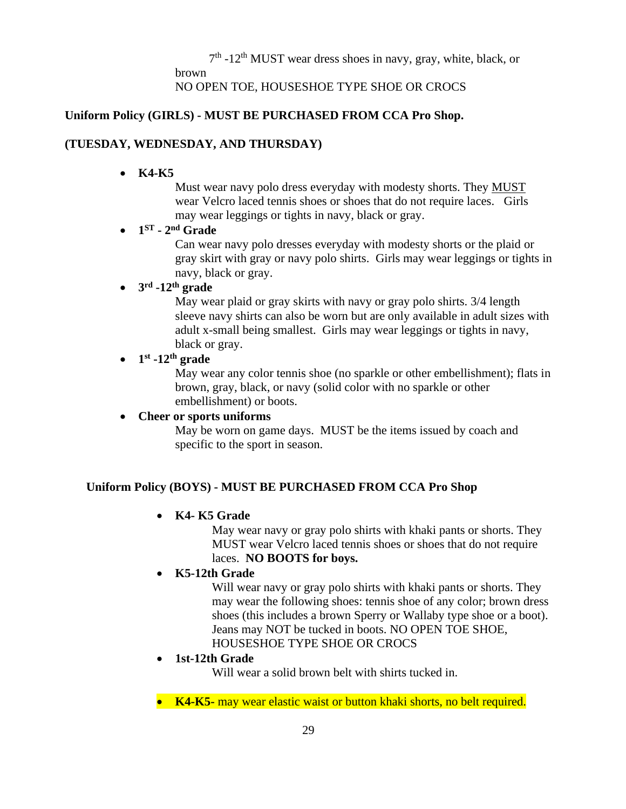$7<sup>th</sup>$  -12<sup>th</sup> MUST wear dress shoes in navy, gray, white, black, or brown

NO OPEN TOE, HOUSESHOE TYPE SHOE OR CROCS

# **Uniform Policy (GIRLS) - MUST BE PURCHASED FROM CCA Pro Shop.**

# **(TUESDAY, WEDNESDAY, AND THURSDAY)**

• **K4-K5**

Must wear navy polo dress everyday with modesty shorts. They MUST wear Velcro laced tennis shoes or shoes that do not require laces. Girls may wear leggings or tights in navy, black or gray.

# $\bullet$  **1**<sup>ST</sup> **-**  $2^{nd}$  Grade

Can wear navy polo dresses everyday with modesty shorts or the plaid or gray skirt with gray or navy polo shirts. Girls may wear leggings or tights in navy, black or gray.

# • **3 rd -12th grade**

May wear plaid or gray skirts with navy or gray polo shirts. 3/4 length sleeve navy shirts can also be worn but are only available in adult sizes with adult x-small being smallest. Girls may wear leggings or tights in navy, black or gray.

# $\bullet$  1<sup>st</sup> -12<sup>th</sup> grade

May wear any color tennis shoe (no sparkle or other embellishment); flats in brown, gray, black, or navy (solid color with no sparkle or other embellishment) or boots.

# • **Cheer or sports uniforms**

May be worn on game days. MUST be the items issued by coach and specific to the sport in season.

# **Uniform Policy (BOYS) - MUST BE PURCHASED FROM CCA Pro Shop**

# • **K4- K5 Grade**

May wear navy or gray polo shirts with khaki pants or shorts. They MUST wear Velcro laced tennis shoes or shoes that do not require laces. **NO BOOTS for boys.**

# • **K5-12th Grade**

Will wear navy or gray polo shirts with khaki pants or shorts. They may wear the following shoes: tennis shoe of any color; brown dress shoes (this includes a brown Sperry or Wallaby type shoe or a boot). Jeans may NOT be tucked in boots. NO OPEN TOE SHOE, HOUSESHOE TYPE SHOE OR CROCS

# • **1st-12th Grade**

Will wear a solid brown belt with shirts tucked in.

• **K4-K5-** may wear elastic waist or button khaki shorts, no belt required.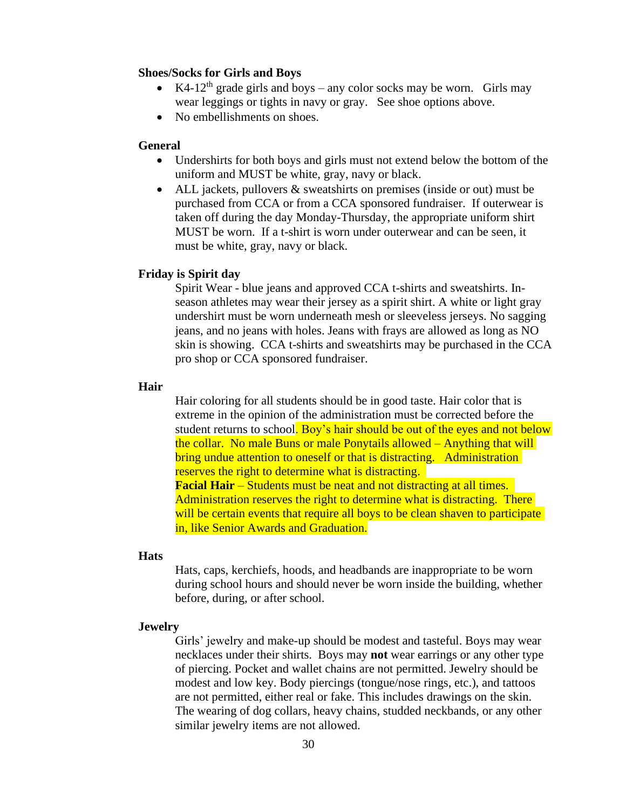## **Shoes/Socks for Girls and Boys**

- K4-12<sup>th</sup> grade girls and boys any color socks may be worn. Girls may wear leggings or tights in navy or gray. See shoe options above.
- No embellishments on shoes.

## **General**

- Undershirts for both boys and girls must not extend below the bottom of the uniform and MUST be white, gray, navy or black.
- ALL jackets, pullovers & sweatshirts on premises (inside or out) must be purchased from CCA or from a CCA sponsored fundraiser. If outerwear is taken off during the day Monday-Thursday, the appropriate uniform shirt MUST be worn. If a t-shirt is worn under outerwear and can be seen, it must be white, gray, navy or black.

## **Friday is Spirit day**

Spirit Wear - blue jeans and approved CCA t-shirts and sweatshirts. Inseason athletes may wear their jersey as a spirit shirt. A white or light gray undershirt must be worn underneath mesh or sleeveless jerseys. No sagging jeans, and no jeans with holes. Jeans with frays are allowed as long as NO skin is showing. CCA t-shirts and sweatshirts may be purchased in the CCA pro shop or CCA sponsored fundraiser.

## **Hair**

Hair coloring for all students should be in good taste. Hair color that is extreme in the opinion of the administration must be corrected before the student returns to school. Boy's hair should be out of the eyes and not below the collar. No male Buns or male Ponytails allowed – Anything that will bring undue attention to oneself or that is distracting. Administration reserves the right to determine what is distracting. **Facial Hair** – Students must be neat and not distracting at all times.

Administration reserves the right to determine what is distracting. There will be certain events that require all boys to be clean shaven to participate in, like Senior Awards and Graduation.

## **Hats**

Hats, caps, kerchiefs, hoods, and headbands are inappropriate to be worn during school hours and should never be worn inside the building, whether before, during, or after school.

## **Jewelry**

Girls' jewelry and make-up should be modest and tasteful. Boys may wear necklaces under their shirts. Boys may **not** wear earrings or any other type of piercing. Pocket and wallet chains are not permitted. Jewelry should be modest and low key. Body piercings (tongue/nose rings, etc.), and tattoos are not permitted, either real or fake. This includes drawings on the skin. The wearing of dog collars, heavy chains, studded neckbands, or any other similar jewelry items are not allowed.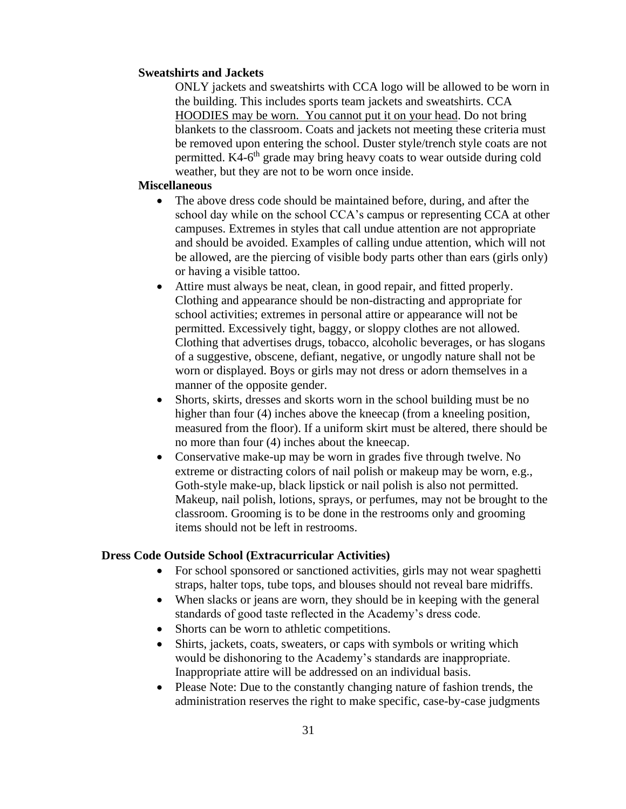## **Sweatshirts and Jackets**

ONLY jackets and sweatshirts with CCA logo will be allowed to be worn in the building. This includes sports team jackets and sweatshirts. CCA HOODIES may be worn. You cannot put it on your head. Do not bring blankets to the classroom. Coats and jackets not meeting these criteria must be removed upon entering the school. Duster style/trench style coats are not permitted. K4-6<sup>th</sup> grade may bring heavy coats to wear outside during cold weather, but they are not to be worn once inside.

## **Miscellaneous**

- The above dress code should be maintained before, during, and after the school day while on the school CCA's campus or representing CCA at other campuses. Extremes in styles that call undue attention are not appropriate and should be avoided. Examples of calling undue attention, which will not be allowed, are the piercing of visible body parts other than ears (girls only) or having a visible tattoo.
- Attire must always be neat, clean, in good repair, and fitted properly. Clothing and appearance should be non-distracting and appropriate for school activities; extremes in personal attire or appearance will not be permitted. Excessively tight, baggy, or sloppy clothes are not allowed. Clothing that advertises drugs, tobacco, alcoholic beverages, or has slogans of a suggestive, obscene, defiant, negative, or ungodly nature shall not be worn or displayed. Boys or girls may not dress or adorn themselves in a manner of the opposite gender.
- Shorts, skirts, dresses and skorts worn in the school building must be no higher than four (4) inches above the kneecap (from a kneeling position, measured from the floor). If a uniform skirt must be altered, there should be no more than four (4) inches about the kneecap.
- Conservative make-up may be worn in grades five through twelve. No extreme or distracting colors of nail polish or makeup may be worn, e.g., Goth-style make-up, black lipstick or nail polish is also not permitted. Makeup, nail polish, lotions, sprays, or perfumes, may not be brought to the classroom. Grooming is to be done in the restrooms only and grooming items should not be left in restrooms.

## **Dress Code Outside School (Extracurricular Activities)**

- For school sponsored or sanctioned activities, girls may not wear spaghetti straps, halter tops, tube tops, and blouses should not reveal bare midriffs.
- When slacks or jeans are worn, they should be in keeping with the general standards of good taste reflected in the Academy's dress code.
- Shorts can be worn to athletic competitions.
- Shirts, jackets, coats, sweaters, or caps with symbols or writing which would be dishonoring to the Academy's standards are inappropriate. Inappropriate attire will be addressed on an individual basis.
- Please Note: Due to the constantly changing nature of fashion trends, the administration reserves the right to make specific, case-by-case judgments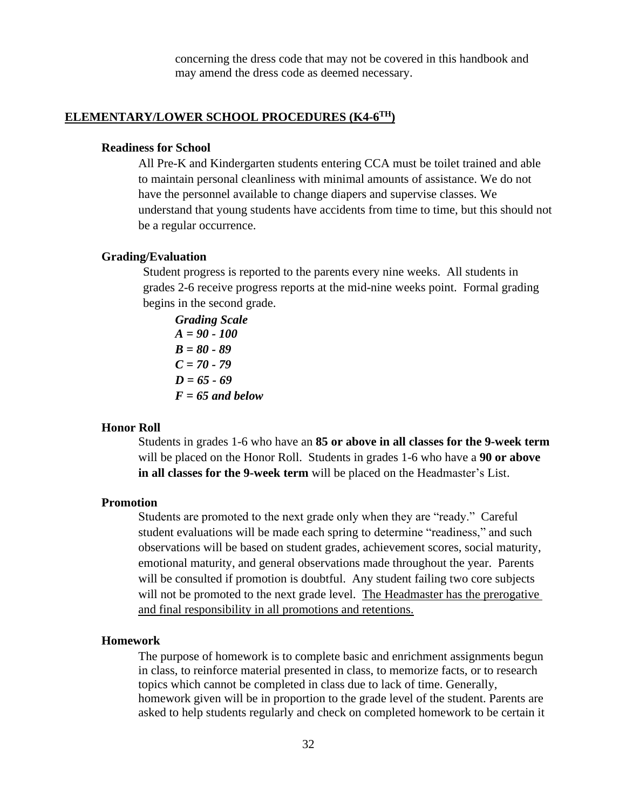concerning the dress code that may not be covered in this handbook and may amend the dress code as deemed necessary.

# **ELEMENTARY/LOWER SCHOOL PROCEDURES (K4-6 TH)**

## **Readiness for School**

All Pre-K and Kindergarten students entering CCA must be toilet trained and able to maintain personal cleanliness with minimal amounts of assistance. We do not have the personnel available to change diapers and supervise classes. We understand that young students have accidents from time to time, but this should not be a regular occurrence.

#### **Grading/Evaluation**

Student progress is reported to the parents every nine weeks. All students in grades 2-6 receive progress reports at the mid-nine weeks point. Formal grading begins in the second grade.

*Grading Scale A = 90 - 100 B = 80 - 89 C = 70 - 79 D = 65 - 69 F = 65 and below*

#### **Honor Roll**

Students in grades 1-6 who have an **85 or above in all classes for the 9-week term** will be placed on the Honor Roll. Students in grades 1-6 who have a **90 or above in all classes for the 9-week term** will be placed on the Headmaster's List.

## **Promotion**

Students are promoted to the next grade only when they are "ready." Careful student evaluations will be made each spring to determine "readiness," and such observations will be based on student grades, achievement scores, social maturity, emotional maturity, and general observations made throughout the year. Parents will be consulted if promotion is doubtful. Any student failing two core subjects will not be promoted to the next grade level. The Headmaster has the prerogative and final responsibility in all promotions and retentions.

#### **Homework**

The purpose of homework is to complete basic and enrichment assignments begun in class, to reinforce material presented in class, to memorize facts, or to research topics which cannot be completed in class due to lack of time. Generally, homework given will be in proportion to the grade level of the student. Parents are asked to help students regularly and check on completed homework to be certain it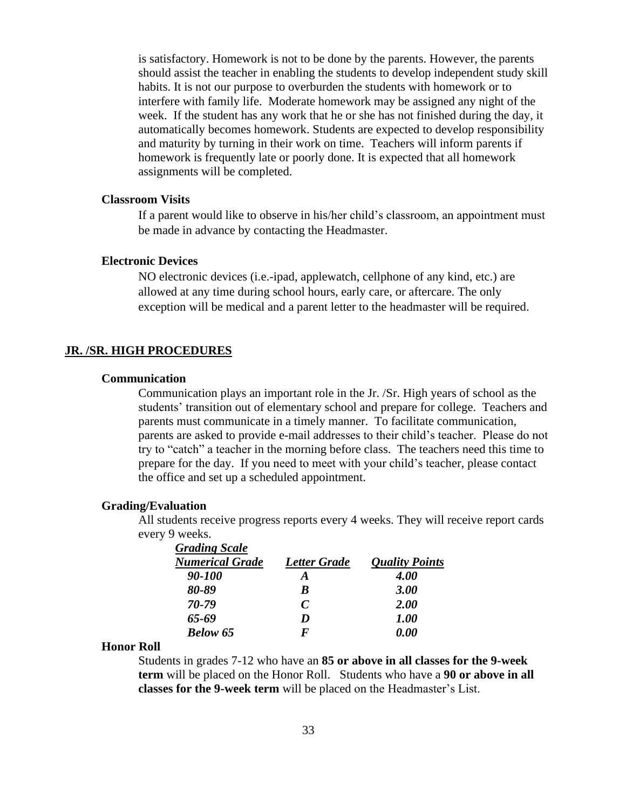is satisfactory. Homework is not to be done by the parents. However, the parents should assist the teacher in enabling the students to develop independent study skill habits. It is not our purpose to overburden the students with homework or to interfere with family life. Moderate homework may be assigned any night of the week. If the student has any work that he or she has not finished during the day, it automatically becomes homework. Students are expected to develop responsibility and maturity by turning in their work on time. Teachers will inform parents if homework is frequently late or poorly done. It is expected that all homework assignments will be completed.

## **Classroom Visits**

If a parent would like to observe in his/her child's classroom, an appointment must be made in advance by contacting the Headmaster.

## **Electronic Devices**

NO electronic devices (i.e.-ipad, applewatch, cellphone of any kind, etc.) are allowed at any time during school hours, early care, or aftercare. The only exception will be medical and a parent letter to the headmaster will be required.

#### **JR. /SR. HIGH PROCEDURES**

## **Communication**

Communication plays an important role in the Jr. /Sr. High years of school as the students' transition out of elementary school and prepare for college. Teachers and parents must communicate in a timely manner. To facilitate communication, parents are asked to provide e-mail addresses to their child's teacher. Please do not try to "catch" a teacher in the morning before class. The teachers need this time to prepare for the day. If you need to meet with your child's teacher, please contact the office and set up a scheduled appointment.

## **Grading/Evaluation**

All students receive progress reports every 4 weeks. They will receive report cards every 9 weeks.

| <b>Grading Scale</b>   |                             |                       |  |
|------------------------|-----------------------------|-----------------------|--|
| <b>Numerical Grade</b> | <b>Letter Grade</b>         | <b>Quality Points</b> |  |
| 90-100                 | A                           | <b>4.00</b>           |  |
| 80-89                  | R                           | <b>3.00</b>           |  |
| 70-79                  | $\mathcal{C}_{\mathcal{C}}$ | <b>2.00</b>           |  |
| 65-69                  | I)                          | <i><b>1.00</b></i>    |  |
| <b>Below 65</b>        | F                           | 0.00                  |  |

#### **Honor Roll**

Students in grades 7-12 who have an **85 or above in all classes for the 9-week term** will be placed on the Honor Roll. Students who have a **90 or above in all classes for the 9-week term** will be placed on the Headmaster's List.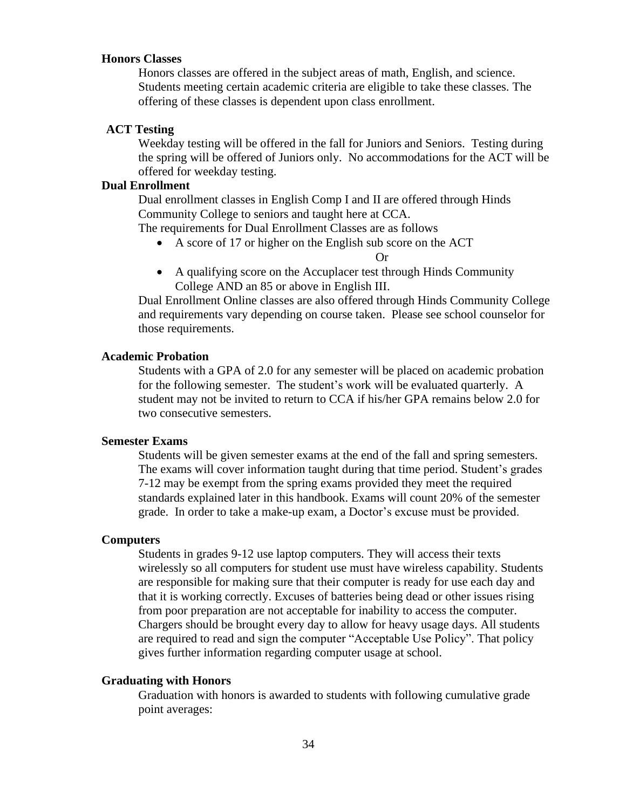# **Honors Classes**

Honors classes are offered in the subject areas of math, English, and science. Students meeting certain academic criteria are eligible to take these classes. The offering of these classes is dependent upon class enrollment.

## **ACT Testing**

Weekday testing will be offered in the fall for Juniors and Seniors. Testing during the spring will be offered of Juniors only. No accommodations for the ACT will be offered for weekday testing.

## **Dual Enrollment**

Dual enrollment classes in English Comp I and II are offered through Hinds Community College to seniors and taught here at CCA.

The requirements for Dual Enrollment Classes are as follows

• A score of 17 or higher on the English sub score on the ACT

Or

• A qualifying score on the Accuplacer test through Hinds Community College AND an 85 or above in English III.

Dual Enrollment Online classes are also offered through Hinds Community College and requirements vary depending on course taken. Please see school counselor for those requirements.

## **Academic Probation**

Students with a GPA of 2.0 for any semester will be placed on academic probation for the following semester. The student's work will be evaluated quarterly. A student may not be invited to return to CCA if his/her GPA remains below 2.0 for two consecutive semesters.

## **Semester Exams**

Students will be given semester exams at the end of the fall and spring semesters. The exams will cover information taught during that time period. Student's grades 7-12 may be exempt from the spring exams provided they meet the required standards explained later in this handbook. Exams will count 20% of the semester grade. In order to take a make-up exam, a Doctor's excuse must be provided.

#### **Computers**

Students in grades 9-12 use laptop computers. They will access their texts wirelessly so all computers for student use must have wireless capability. Students are responsible for making sure that their computer is ready for use each day and that it is working correctly. Excuses of batteries being dead or other issues rising from poor preparation are not acceptable for inability to access the computer. Chargers should be brought every day to allow for heavy usage days. All students are required to read and sign the computer "Acceptable Use Policy". That policy gives further information regarding computer usage at school.

## **Graduating with Honors**

Graduation with honors is awarded to students with following cumulative grade point averages: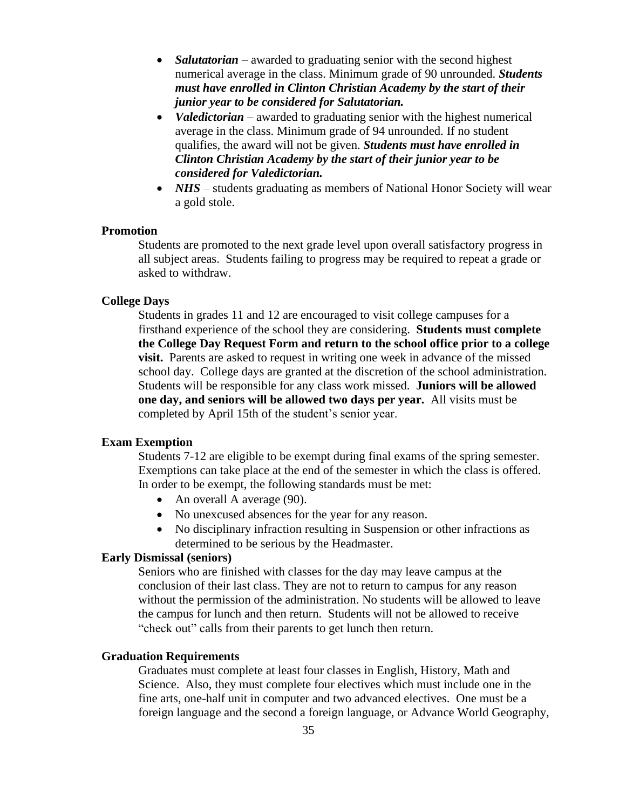- *Salutatorian* awarded to graduating senior with the second highest numerical average in the class. Minimum grade of 90 unrounded. *Students must have enrolled in Clinton Christian Academy by the start of their junior year to be considered for Salutatorian.*
- *Valedictorian* awarded to graduating senior with the highest numerical average in the class. Minimum grade of 94 unrounded. If no student qualifies, the award will not be given. *Students must have enrolled in Clinton Christian Academy by the start of their junior year to be considered for Valedictorian.*
- *NHS* students graduating as members of National Honor Society will wear a gold stole.

## **Promotion**

Students are promoted to the next grade level upon overall satisfactory progress in all subject areas. Students failing to progress may be required to repeat a grade or asked to withdraw.

#### **College Days**

Students in grades 11 and 12 are encouraged to visit college campuses for a firsthand experience of the school they are considering. **Students must complete the College Day Request Form and return to the school office prior to a college visit.** Parents are asked to request in writing one week in advance of the missed school day. College days are granted at the discretion of the school administration. Students will be responsible for any class work missed. **Juniors will be allowed one day, and seniors will be allowed two days per year.** All visits must be completed by April 15th of the student's senior year.

## **Exam Exemption**

Students 7-12 are eligible to be exempt during final exams of the spring semester. Exemptions can take place at the end of the semester in which the class is offered. In order to be exempt, the following standards must be met:

- An overall A average (90).
- No unexcused absences for the year for any reason.
- No disciplinary infraction resulting in Suspension or other infractions as determined to be serious by the Headmaster.

## **Early Dismissal (seniors)**

Seniors who are finished with classes for the day may leave campus at the conclusion of their last class. They are not to return to campus for any reason without the permission of the administration. No students will be allowed to leave the campus for lunch and then return. Students will not be allowed to receive "check out" calls from their parents to get lunch then return.

## **Graduation Requirements**

Graduates must complete at least four classes in English, History, Math and Science. Also, they must complete four electives which must include one in the fine arts, one-half unit in computer and two advanced electives. One must be a foreign language and the second a foreign language, or Advance World Geography,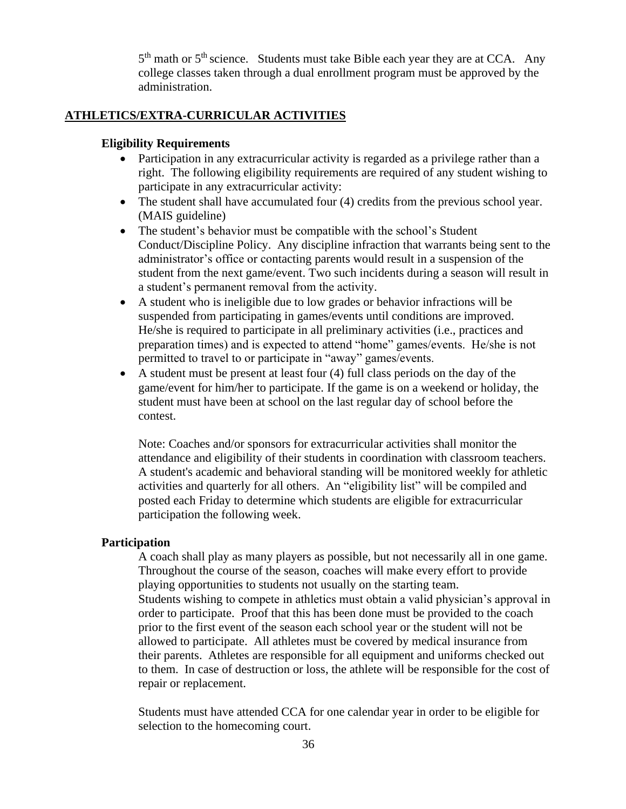5<sup>th</sup> math or 5<sup>th</sup> science. Students must take Bible each year they are at CCA. Any college classes taken through a dual enrollment program must be approved by the administration.

## **ATHLETICS/EXTRA-CURRICULAR ACTIVITIES**

## **Eligibility Requirements**

- Participation in any extracurricular activity is regarded as a privilege rather than a right. The following eligibility requirements are required of any student wishing to participate in any extracurricular activity:
- The student shall have accumulated four (4) credits from the previous school year. (MAIS guideline)
- The student's behavior must be compatible with the school's Student Conduct/Discipline Policy. Any discipline infraction that warrants being sent to the administrator's office or contacting parents would result in a suspension of the student from the next game/event. Two such incidents during a season will result in a student's permanent removal from the activity.
- A student who is ineligible due to low grades or behavior infractions will be suspended from participating in games/events until conditions are improved. He/she is required to participate in all preliminary activities (i.e., practices and preparation times) and is expected to attend "home" games/events. He/she is not permitted to travel to or participate in "away" games/events.
- A student must be present at least four (4) full class periods on the day of the game/event for him/her to participate. If the game is on a weekend or holiday, the student must have been at school on the last regular day of school before the contest.

Note: Coaches and/or sponsors for extracurricular activities shall monitor the attendance and eligibility of their students in coordination with classroom teachers. A student's academic and behavioral standing will be monitored weekly for athletic activities and quarterly for all others. An "eligibility list" will be compiled and posted each Friday to determine which students are eligible for extracurricular participation the following week.

## **Participation**

A coach shall play as many players as possible, but not necessarily all in one game. Throughout the course of the season, coaches will make every effort to provide playing opportunities to students not usually on the starting team. Students wishing to compete in athletics must obtain a valid physician's approval in order to participate. Proof that this has been done must be provided to the coach prior to the first event of the season each school year or the student will not be allowed to participate. All athletes must be covered by medical insurance from their parents. Athletes are responsible for all equipment and uniforms checked out to them. In case of destruction or loss, the athlete will be responsible for the cost of repair or replacement.

Students must have attended CCA for one calendar year in order to be eligible for selection to the homecoming court.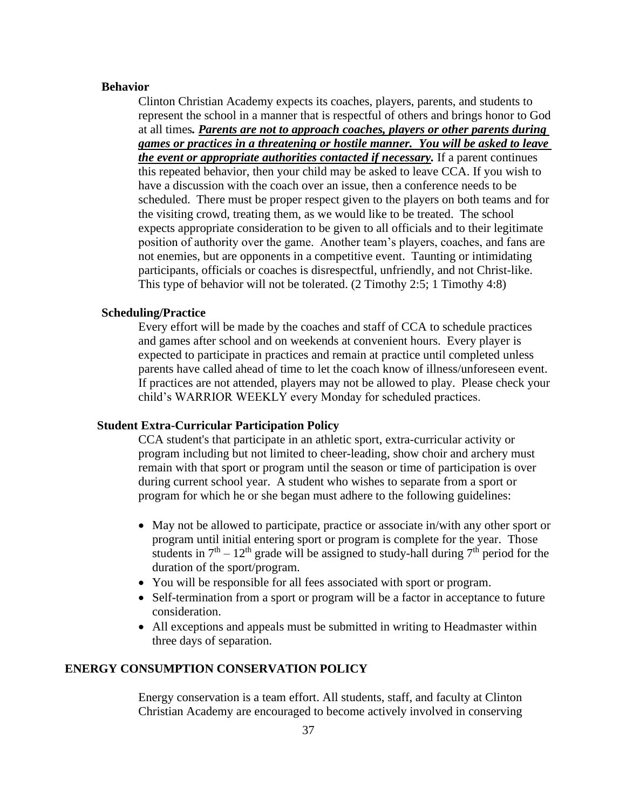## **Behavior**

Clinton Christian Academy expects its coaches, players, parents, and students to represent the school in a manner that is respectful of others and brings honor to God at all times*. Parents are not to approach coaches, players or other parents during games or practices in a threatening or hostile manner. You will be asked to leave the event or appropriate authorities contacted if necessary.* If a parent continues this repeated behavior, then your child may be asked to leave CCA. If you wish to have a discussion with the coach over an issue, then a conference needs to be scheduled. There must be proper respect given to the players on both teams and for the visiting crowd, treating them, as we would like to be treated. The school expects appropriate consideration to be given to all officials and to their legitimate position of authority over the game. Another team's players, coaches, and fans are not enemies, but are opponents in a competitive event. Taunting or intimidating participants, officials or coaches is disrespectful, unfriendly, and not Christ-like. This type of behavior will not be tolerated. (2 Timothy 2:5; 1 Timothy 4:8)

## **Scheduling/Practice**

Every effort will be made by the coaches and staff of CCA to schedule practices and games after school and on weekends at convenient hours. Every player is expected to participate in practices and remain at practice until completed unless parents have called ahead of time to let the coach know of illness/unforeseen event. If practices are not attended, players may not be allowed to play. Please check your child's WARRIOR WEEKLY every Monday for scheduled practices.

## **Student Extra-Curricular Participation Policy**

CCA student's that participate in an athletic sport, extra-curricular activity or program including but not limited to cheer-leading, show choir and archery must remain with that sport or program until the season or time of participation is over during current school year. A student who wishes to separate from a sport or program for which he or she began must adhere to the following guidelines:

- May not be allowed to participate, practice or associate in/with any other sport or program until initial entering sport or program is complete for the year. Those students in  $7<sup>th</sup> - 12<sup>th</sup>$  grade will be assigned to study-hall during  $7<sup>th</sup>$  period for the duration of the sport/program.
- You will be responsible for all fees associated with sport or program.
- Self-termination from a sport or program will be a factor in acceptance to future consideration.
- All exceptions and appeals must be submitted in writing to Headmaster within three days of separation.

## **ENERGY CONSUMPTION CONSERVATION POLICY**

Energy conservation is a team effort. All students, staff, and faculty at Clinton Christian Academy are encouraged to become actively involved in conserving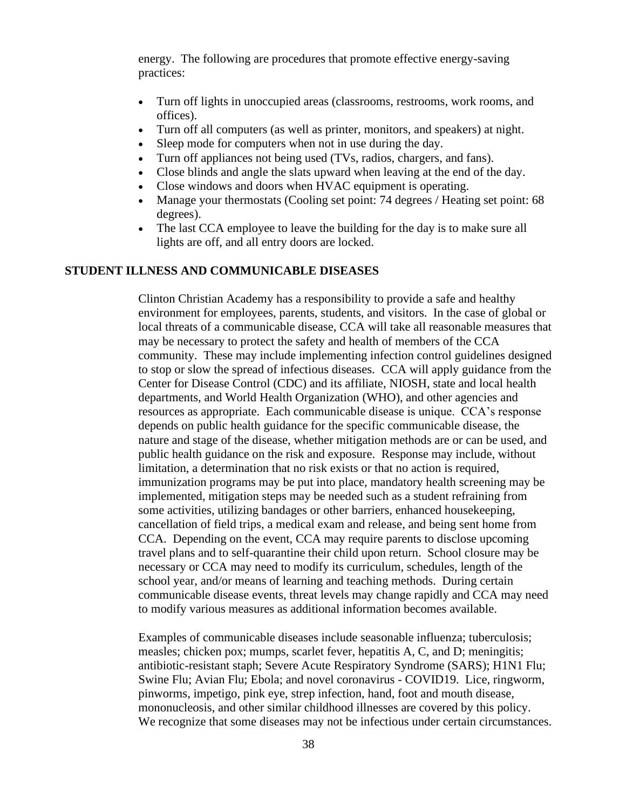energy. The following are procedures that promote effective energy-saving practices:

- Turn off lights in unoccupied areas (classrooms, restrooms, work rooms, and offices).
- Turn off all computers (as well as printer, monitors, and speakers) at night.
- Sleep mode for computers when not in use during the day.
- Turn off appliances not being used (TVs, radios, chargers, and fans).
- Close blinds and angle the slats upward when leaving at the end of the day.
- Close windows and doors when HVAC equipment is operating.
- Manage your thermostats (Cooling set point: 74 degrees / Heating set point: 68 degrees).
- The last CCA employee to leave the building for the day is to make sure all lights are off, and all entry doors are locked.

## **STUDENT ILLNESS AND COMMUNICABLE DISEASES**

Clinton Christian Academy has a responsibility to provide a safe and healthy environment for employees, parents, students, and visitors. In the case of global or local threats of a communicable disease, CCA will take all reasonable measures that may be necessary to protect the safety and health of members of the CCA community. These may include implementing infection control guidelines designed to stop or slow the spread of infectious diseases. CCA will apply guidance from the Center for Disease Control (CDC) and its affiliate, NIOSH, state and local health departments, and World Health Organization (WHO), and other agencies and resources as appropriate. Each communicable disease is unique. CCA's response depends on public health guidance for the specific communicable disease, the nature and stage of the disease, whether mitigation methods are or can be used, and public health guidance on the risk and exposure. Response may include, without limitation, a determination that no risk exists or that no action is required, immunization programs may be put into place, mandatory health screening may be implemented, mitigation steps may be needed such as a student refraining from some activities, utilizing bandages or other barriers, enhanced housekeeping, cancellation of field trips, a medical exam and release, and being sent home from CCA. Depending on the event, CCA may require parents to disclose upcoming travel plans and to self-quarantine their child upon return. School closure may be necessary or CCA may need to modify its curriculum, schedules, length of the school year, and/or means of learning and teaching methods. During certain communicable disease events, threat levels may change rapidly and CCA may need to modify various measures as additional information becomes available.

Examples of communicable diseases include seasonable influenza; tuberculosis; measles; chicken pox; mumps, scarlet fever, hepatitis A, C, and D; meningitis; antibiotic-resistant staph; Severe Acute Respiratory Syndrome (SARS); H1N1 Flu; Swine Flu; Avian Flu; Ebola; and novel coronavirus - COVID19. Lice, ringworm, pinworms, impetigo, pink eye, strep infection, hand, foot and mouth disease, mononucleosis, and other similar childhood illnesses are covered by this policy. We recognize that some diseases may not be infectious under certain circumstances.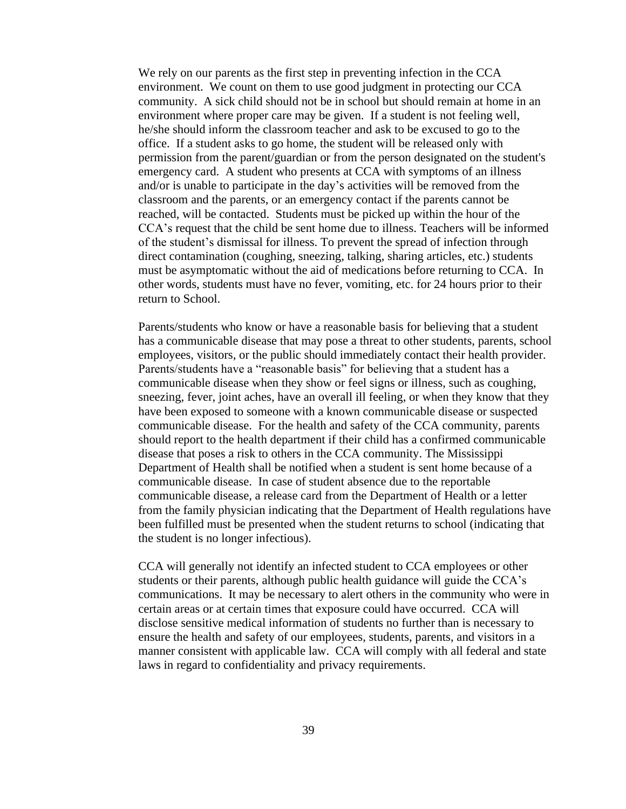We rely on our parents as the first step in preventing infection in the CCA environment. We count on them to use good judgment in protecting our CCA community. A sick child should not be in school but should remain at home in an environment where proper care may be given. If a student is not feeling well, he/she should inform the classroom teacher and ask to be excused to go to the office. If a student asks to go home, the student will be released only with permission from the parent/guardian or from the person designated on the student's emergency card. A student who presents at CCA with symptoms of an illness and/or is unable to participate in the day's activities will be removed from the classroom and the parents, or an emergency contact if the parents cannot be reached, will be contacted. Students must be picked up within the hour of the CCA's request that the child be sent home due to illness. Teachers will be informed of the student's dismissal for illness. To prevent the spread of infection through direct contamination (coughing, sneezing, talking, sharing articles, etc.) students must be asymptomatic without the aid of medications before returning to CCA. In other words, students must have no fever, vomiting, etc. for 24 hours prior to their return to School.

Parents/students who know or have a reasonable basis for believing that a student has a communicable disease that may pose a threat to other students, parents, school employees, visitors, or the public should immediately contact their health provider. Parents/students have a "reasonable basis" for believing that a student has a communicable disease when they show or feel signs or illness, such as coughing, sneezing, fever, joint aches, have an overall ill feeling, or when they know that they have been exposed to someone with a known communicable disease or suspected communicable disease. For the health and safety of the CCA community, parents should report to the health department if their child has a confirmed communicable disease that poses a risk to others in the CCA community. The Mississippi Department of Health shall be notified when a student is sent home because of a communicable disease. In case of student absence due to the reportable communicable disease, a release card from the Department of Health or a letter from the family physician indicating that the Department of Health regulations have been fulfilled must be presented when the student returns to school (indicating that the student is no longer infectious).

CCA will generally not identify an infected student to CCA employees or other students or their parents, although public health guidance will guide the CCA's communications. It may be necessary to alert others in the community who were in certain areas or at certain times that exposure could have occurred. CCA will disclose sensitive medical information of students no further than is necessary to ensure the health and safety of our employees, students, parents, and visitors in a manner consistent with applicable law. CCA will comply with all federal and state laws in regard to confidentiality and privacy requirements.